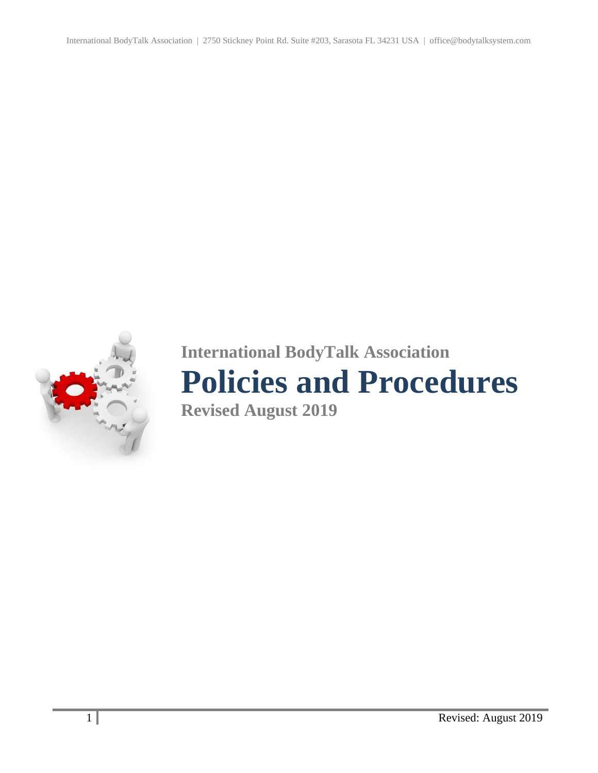International BodyTalk Association | 2750 Stickney Point Rd. Suite #203, Sarasota FL 34231 USA | office@bodytalksystem.com



# **International BodyTalk Association**

## **Policies and Procedures**

**Revised August 2019**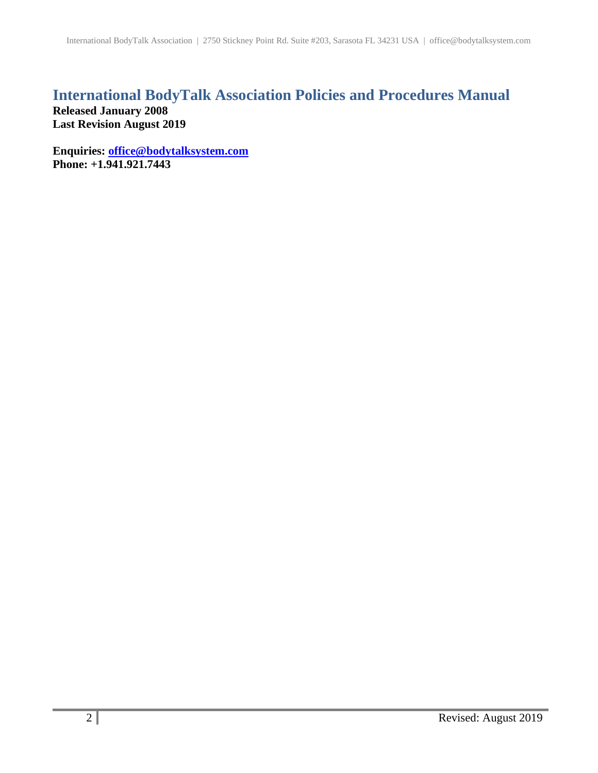## **International BodyTalk Association Policies and Procedures Manual**

**Released January 2008 Last Revision August 2019**

**Enquiries: [office@bodytalksystem.com](mailto:office@bodytalksystem.com) Phone: +1.941.921.7443**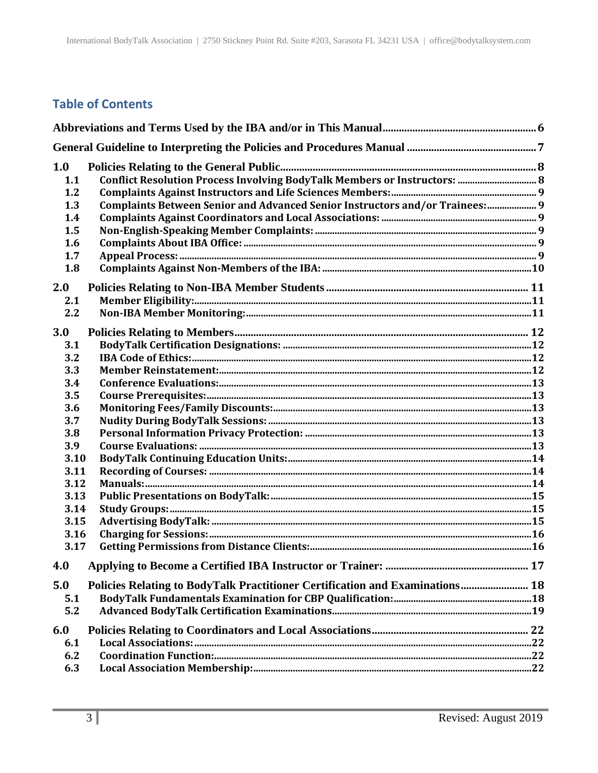## **Table of Contents**

| 1.0<br>1.1<br>1.2<br>1.3<br>1.4<br>1.5<br>1.6<br>1.7<br>1.8 | Conflict Resolution Process Involving BodyTalk Members or Instructors:  8<br>Complaints Between Senior and Advanced Senior Instructors and/or Trainees:  9 |  |
|-------------------------------------------------------------|------------------------------------------------------------------------------------------------------------------------------------------------------------|--|
| 2.0                                                         |                                                                                                                                                            |  |
| 2.1                                                         |                                                                                                                                                            |  |
| 2.2                                                         |                                                                                                                                                            |  |
| 3.0                                                         |                                                                                                                                                            |  |
| 3.1                                                         |                                                                                                                                                            |  |
| 3.2                                                         |                                                                                                                                                            |  |
| 3.3                                                         |                                                                                                                                                            |  |
| 3.4                                                         |                                                                                                                                                            |  |
| 3.5                                                         |                                                                                                                                                            |  |
| 3.6                                                         |                                                                                                                                                            |  |
| 3.7                                                         |                                                                                                                                                            |  |
| 3.8                                                         |                                                                                                                                                            |  |
| 3.9                                                         |                                                                                                                                                            |  |
| 3.10                                                        |                                                                                                                                                            |  |
| 3.11                                                        |                                                                                                                                                            |  |
| 3.12                                                        |                                                                                                                                                            |  |
| 3.13                                                        |                                                                                                                                                            |  |
| 3.14                                                        |                                                                                                                                                            |  |
| 3.15<br>3.16                                                |                                                                                                                                                            |  |
| 3.17                                                        |                                                                                                                                                            |  |
|                                                             |                                                                                                                                                            |  |
| 4.0                                                         |                                                                                                                                                            |  |
| 5.0                                                         | Policies Relating to BodyTalk Practitioner Certification and Examinations 18                                                                               |  |
| 5.1                                                         |                                                                                                                                                            |  |
| 5.2                                                         |                                                                                                                                                            |  |
| 6.0                                                         |                                                                                                                                                            |  |
| 6.1                                                         |                                                                                                                                                            |  |
| 6.2                                                         |                                                                                                                                                            |  |
| 6.3                                                         |                                                                                                                                                            |  |
|                                                             |                                                                                                                                                            |  |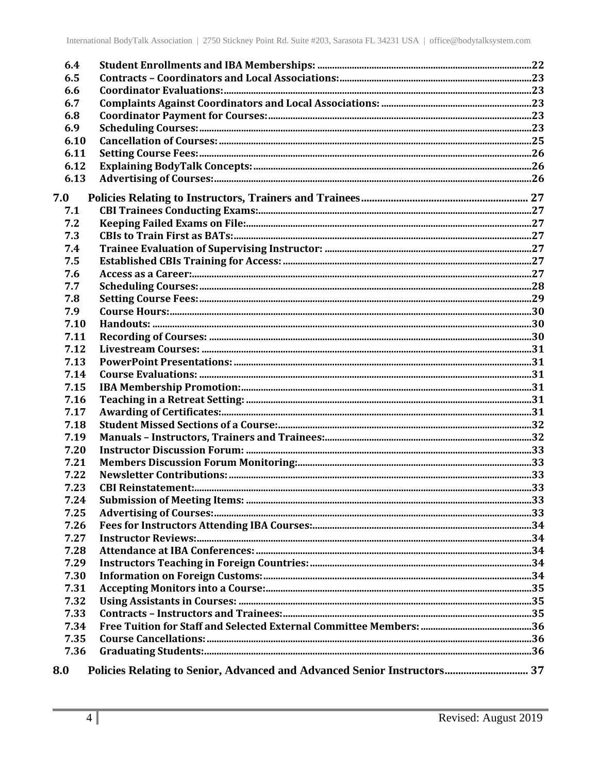| 6.4  |                                                                          |  |
|------|--------------------------------------------------------------------------|--|
| 6.5  |                                                                          |  |
| 6.6  |                                                                          |  |
| 6.7  |                                                                          |  |
| 6.8  |                                                                          |  |
| 6.9  |                                                                          |  |
| 6.10 |                                                                          |  |
| 6.11 |                                                                          |  |
| 6.12 |                                                                          |  |
| 6.13 |                                                                          |  |
| 7.0  |                                                                          |  |
| 7.1  |                                                                          |  |
| 7.2  |                                                                          |  |
| 7.3  |                                                                          |  |
| 7.4  |                                                                          |  |
| 7.5  |                                                                          |  |
| 7.6  |                                                                          |  |
| 7.7  |                                                                          |  |
| 7.8  |                                                                          |  |
| 7.9  |                                                                          |  |
| 7.10 |                                                                          |  |
| 7.11 |                                                                          |  |
| 7.12 |                                                                          |  |
| 7.13 |                                                                          |  |
| 7.14 |                                                                          |  |
| 7.15 |                                                                          |  |
| 7.16 |                                                                          |  |
| 7.17 |                                                                          |  |
| 7.18 |                                                                          |  |
| 7.19 |                                                                          |  |
| 7.20 |                                                                          |  |
| 7.21 |                                                                          |  |
| 7.22 |                                                                          |  |
| 7.23 |                                                                          |  |
| 7.24 |                                                                          |  |
| 7.25 |                                                                          |  |
| 7.26 |                                                                          |  |
| 7.27 |                                                                          |  |
| 7.28 |                                                                          |  |
| 7.29 |                                                                          |  |
| 7.30 |                                                                          |  |
| 7.31 |                                                                          |  |
| 7.32 |                                                                          |  |
| 7.33 |                                                                          |  |
| 7.34 |                                                                          |  |
| 7.35 |                                                                          |  |
| 7.36 |                                                                          |  |
| 8.0  | Policies Relating to Senior, Advanced and Advanced Senior Instructors 37 |  |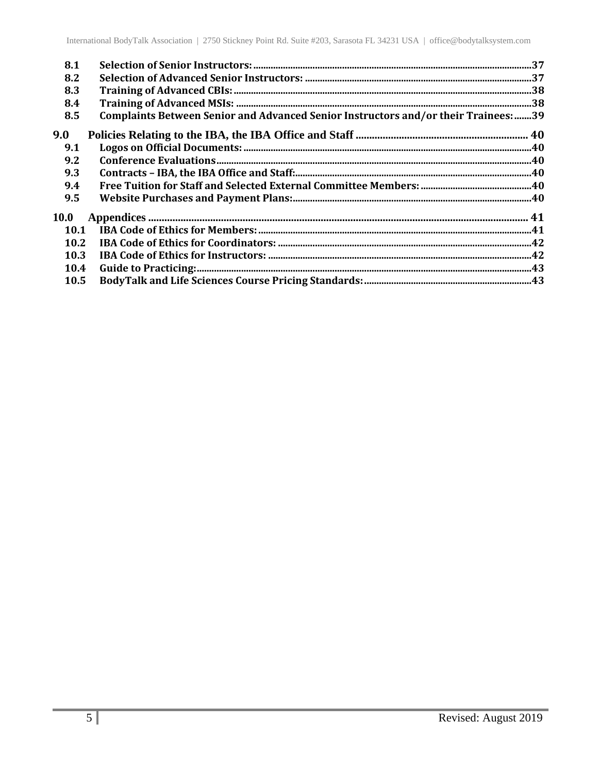| 8.1  |                                                                                     |  |
|------|-------------------------------------------------------------------------------------|--|
| 8.2  |                                                                                     |  |
| 8.3  |                                                                                     |  |
| 8.4  |                                                                                     |  |
| 8.5  | Complaints Between Senior and Advanced Senior Instructors and/or their Trainees: 39 |  |
| 9.0  |                                                                                     |  |
| 9.1  |                                                                                     |  |
| 9.2  |                                                                                     |  |
| 9.3  |                                                                                     |  |
| 9.4  |                                                                                     |  |
| 9.5  |                                                                                     |  |
| 10.0 |                                                                                     |  |
| 10.1 |                                                                                     |  |
| 10.2 |                                                                                     |  |
| 10.3 |                                                                                     |  |
| 10.4 |                                                                                     |  |
| 10.5 |                                                                                     |  |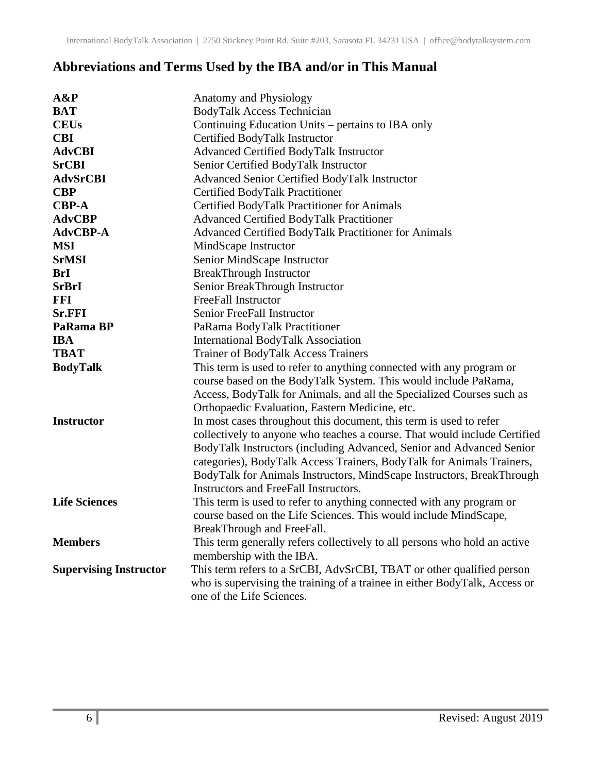## <span id="page-5-0"></span>**Abbreviations and Terms Used by the IBA and/or in This Manual**

| $A\&P$                        | Anatomy and Physiology                                                     |
|-------------------------------|----------------------------------------------------------------------------|
| <b>BAT</b>                    | <b>BodyTalk Access Technician</b>                                          |
| <b>CEUs</b>                   | Continuing Education Units – pertains to IBA only                          |
| <b>CBI</b>                    | Certified BodyTalk Instructor                                              |
| <b>AdvCBI</b>                 | Advanced Certified BodyTalk Instructor                                     |
| <b>SrCBI</b>                  | Senior Certified BodyTalk Instructor                                       |
| <b>AdvSrCBI</b>               | Advanced Senior Certified BodyTalk Instructor                              |
| <b>CBP</b>                    | Certified BodyTalk Practitioner                                            |
| <b>CBP-A</b>                  | Certified BodyTalk Practitioner for Animals                                |
| <b>AdvCBP</b>                 | <b>Advanced Certified BodyTalk Practitioner</b>                            |
| AdvCBP-A                      | Advanced Certified BodyTalk Practitioner for Animals                       |
| <b>MSI</b>                    | MindScape Instructor                                                       |
| <b>SrMSI</b>                  | Senior MindScape Instructor                                                |
| <b>BrI</b>                    | <b>BreakThrough Instructor</b>                                             |
| <b>SrBrI</b>                  | Senior BreakThrough Instructor                                             |
| <b>FFI</b>                    | FreeFall Instructor                                                        |
| Sr.FFI                        | Senior FreeFall Instructor                                                 |
| PaRama BP                     | PaRama BodyTalk Practitioner                                               |
| <b>IBA</b>                    | <b>International BodyTalk Association</b>                                  |
| <b>TBAT</b>                   | <b>Trainer of BodyTalk Access Trainers</b>                                 |
| <b>BodyTalk</b>               | This term is used to refer to anything connected with any program or       |
|                               | course based on the BodyTalk System. This would include PaRama,            |
|                               | Access, BodyTalk for Animals, and all the Specialized Courses such as      |
|                               | Orthopaedic Evaluation, Eastern Medicine, etc.                             |
| <b>Instructor</b>             | In most cases throughout this document, this term is used to refer         |
|                               | collectively to anyone who teaches a course. That would include Certified  |
|                               | BodyTalk Instructors (including Advanced, Senior and Advanced Senior       |
|                               | categories), BodyTalk Access Trainers, BodyTalk for Animals Trainers,      |
|                               | BodyTalk for Animals Instructors, MindScape Instructors, BreakThrough      |
|                               | Instructors and FreeFall Instructors.                                      |
| <b>Life Sciences</b>          | This term is used to refer to anything connected with any program or       |
|                               | course based on the Life Sciences. This would include MindScape,           |
|                               | BreakThrough and FreeFall.                                                 |
| <b>Members</b>                | This term generally refers collectively to all persons who hold an active  |
|                               | membership with the IBA.                                                   |
| <b>Supervising Instructor</b> | This term refers to a SrCBI, AdvSrCBI, TBAT or other qualified person      |
|                               | who is supervising the training of a trainee in either BodyTalk, Access or |
|                               | one of the Life Sciences.                                                  |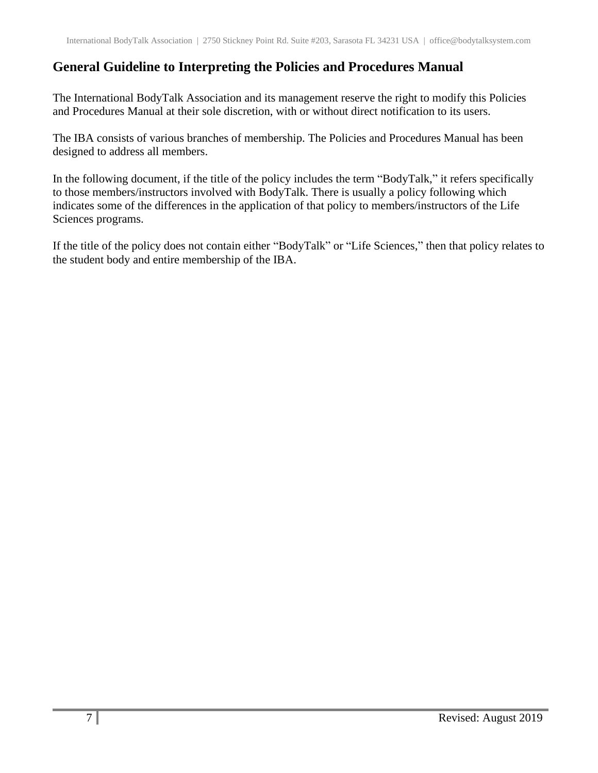## <span id="page-6-0"></span>**General Guideline to Interpreting the Policies and Procedures Manual**

The International BodyTalk Association and its management reserve the right to modify this Policies and Procedures Manual at their sole discretion, with or without direct notification to its users.

The IBA consists of various branches of membership. The Policies and Procedures Manual has been designed to address all members.

In the following document, if the title of the policy includes the term "BodyTalk," it refers specifically to those members/instructors involved with BodyTalk. There is usually a policy following which indicates some of the differences in the application of that policy to members/instructors of the Life Sciences programs.

If the title of the policy does not contain either "BodyTalk" or "Life Sciences," then that policy relates to the student body and entire membership of the IBA.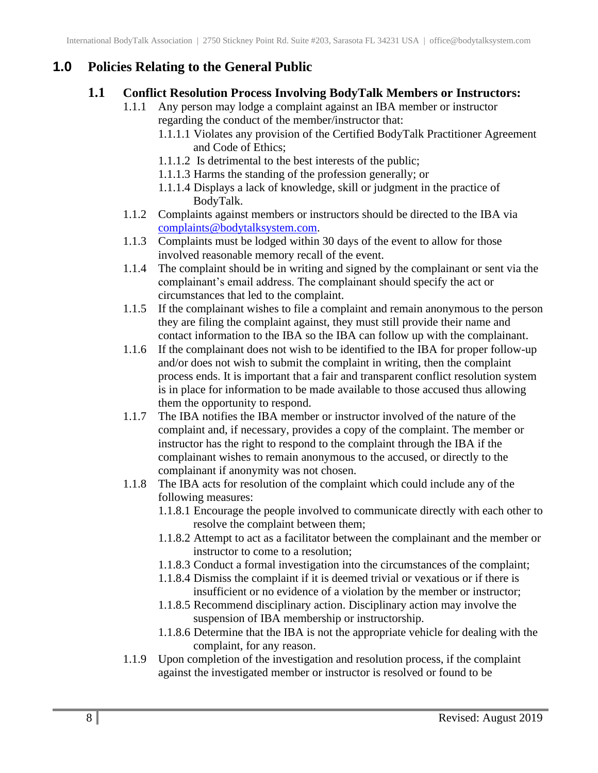## <span id="page-7-1"></span><span id="page-7-0"></span>**1.0 Policies Relating to the General Public**

#### **1.1 Conflict Resolution Process Involving BodyTalk Members or Instructors:**

- 1.1.1 Any person may lodge a complaint against an IBA member or instructor regarding the conduct of the member/instructor that:
	- 1.1.1.1 Violates any provision of the Certified BodyTalk Practitioner Agreement and Code of Ethics;
	- 1.1.1.2 Is detrimental to the best interests of the public;
	- 1.1.1.3 Harms the standing of the profession generally; or
	- 1.1.1.4 Displays a lack of knowledge, skill or judgment in the practice of BodyTalk.
- 1.1.2 Complaints against members or instructors should be directed to the IBA via [complaints@bodytalksystem.com.](mailto:complaints@bodytalksystem.com)
- 1.1.3 Complaints must be lodged within 30 days of the event to allow for those involved reasonable memory recall of the event.
- 1.1.4 The complaint should be in writing and signed by the complainant or sent via the complainant's email address. The complainant should specify the act or circumstances that led to the complaint.
- 1.1.5 If the complainant wishes to file a complaint and remain anonymous to the person they are filing the complaint against, they must still provide their name and contact information to the IBA so the IBA can follow up with the complainant.
- 1.1.6 If the complainant does not wish to be identified to the IBA for proper follow-up and/or does not wish to submit the complaint in writing, then the complaint process ends. It is important that a fair and transparent conflict resolution system is in place for information to be made available to those accused thus allowing them the opportunity to respond.
- 1.1.7 The IBA notifies the IBA member or instructor involved of the nature of the complaint and, if necessary, provides a copy of the complaint. The member or instructor has the right to respond to the complaint through the IBA if the complainant wishes to remain anonymous to the accused, or directly to the complainant if anonymity was not chosen.
- 1.1.8 The IBA acts for resolution of the complaint which could include any of the following measures:
	- 1.1.8.1 Encourage the people involved to communicate directly with each other to resolve the complaint between them;
	- 1.1.8.2 Attempt to act as a facilitator between the complainant and the member or instructor to come to a resolution;
	- 1.1.8.3 Conduct a formal investigation into the circumstances of the complaint;
	- 1.1.8.4 Dismiss the complaint if it is deemed trivial or vexatious or if there is insufficient or no evidence of a violation by the member or instructor;
	- 1.1.8.5 Recommend disciplinary action. Disciplinary action may involve the suspension of IBA membership or instructorship.
	- 1.1.8.6 Determine that the IBA is not the appropriate vehicle for dealing with the complaint, for any reason.
- 1.1.9 Upon completion of the investigation and resolution process, if the complaint against the investigated member or instructor is resolved or found to be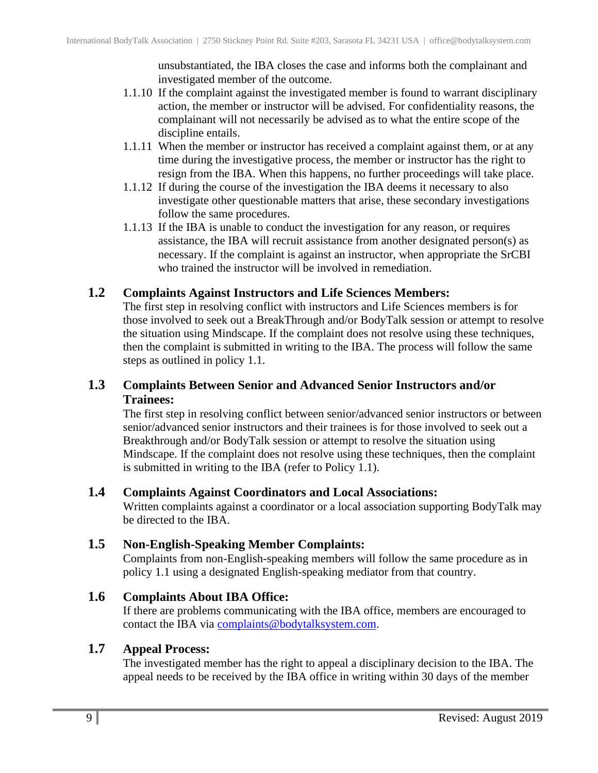unsubstantiated, the IBA closes the case and informs both the complainant and investigated member of the outcome.

- 1.1.10 If the complaint against the investigated member is found to warrant disciplinary action, the member or instructor will be advised. For confidentiality reasons, the complainant will not necessarily be advised as to what the entire scope of the discipline entails.
- 1.1.11 When the member or instructor has received a complaint against them, or at any time during the investigative process, the member or instructor has the right to resign from the IBA. When this happens, no further proceedings will take place.
- 1.1.12 If during the course of the investigation the IBA deems it necessary to also investigate other questionable matters that arise, these secondary investigations follow the same procedures.
- 1.1.13 If the IBA is unable to conduct the investigation for any reason, or requires assistance, the IBA will recruit assistance from another designated person(s) as necessary. If the complaint is against an instructor, when appropriate the SrCBI who trained the instructor will be involved in remediation.

#### <span id="page-8-0"></span>**1.2 Complaints Against Instructors and Life Sciences Members:**

The first step in resolving conflict with instructors and Life Sciences members is for those involved to seek out a BreakThrough and/or BodyTalk session or attempt to resolve the situation using Mindscape. If the complaint does not resolve using these techniques, then the complaint is submitted in writing to the IBA. The process will follow the same steps as outlined in policy 1.1.

#### <span id="page-8-1"></span>**1.3 Complaints Between Senior and Advanced Senior Instructors and/or Trainees:**

The first step in resolving conflict between senior/advanced senior instructors or between senior/advanced senior instructors and their trainees is for those involved to seek out a Breakthrough and/or BodyTalk session or attempt to resolve the situation using Mindscape. If the complaint does not resolve using these techniques, then the complaint is submitted in writing to the IBA (refer to Policy 1.1).

#### <span id="page-8-2"></span>**1.4 Complaints Against Coordinators and Local Associations:**

Written complaints against a coordinator or a local association supporting BodyTalk may be directed to the IBA.

#### <span id="page-8-3"></span>**1.5 Non-English-Speaking Member Complaints:**

Complaints from non-English-speaking members will follow the same procedure as in policy 1.1 using a designated English-speaking mediator from that country.

#### <span id="page-8-4"></span>**1.6 Complaints About IBA Office:**

If there are problems communicating with the IBA office, members are encouraged to contact the IBA via [complaints@bodytalksystem.com.](mailto:complaints@bodytalksystem.com)

#### <span id="page-8-5"></span>**1.7 Appeal Process:**

The investigated member has the right to appeal a disciplinary decision to the IBA. The appeal needs to be received by the IBA office in writing within 30 days of the member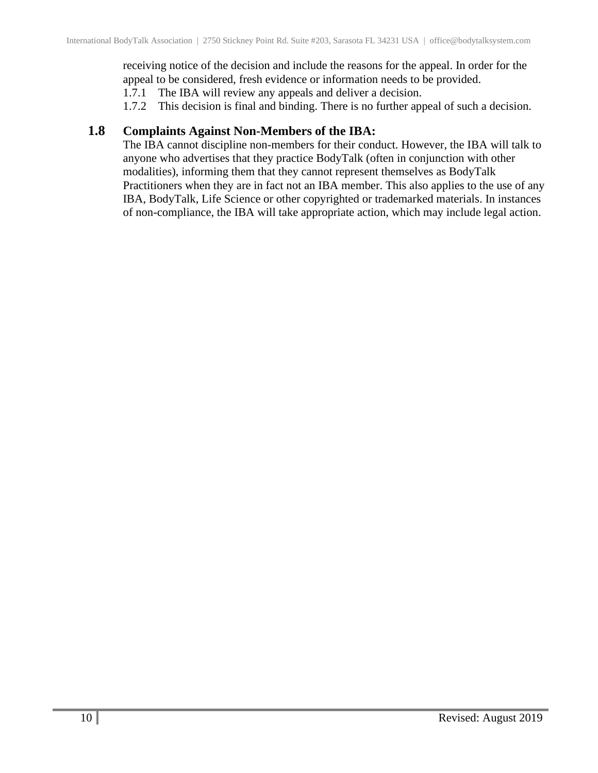receiving notice of the decision and include the reasons for the appeal. In order for the appeal to be considered, fresh evidence or information needs to be provided.

1.7.1 The IBA will review any appeals and deliver a decision.

1.7.2 This decision is final and binding. There is no further appeal of such a decision.

#### <span id="page-9-0"></span>**1.8 Complaints Against Non-Members of the IBA:**

The IBA cannot discipline non-members for their conduct. However, the IBA will talk to anyone who advertises that they practice BodyTalk (often in conjunction with other modalities), informing them that they cannot represent themselves as BodyTalk Practitioners when they are in fact not an IBA member. This also applies to the use of any IBA, BodyTalk, Life Science or other copyrighted or trademarked materials. In instances of non-compliance, the IBA will take appropriate action, which may include legal action.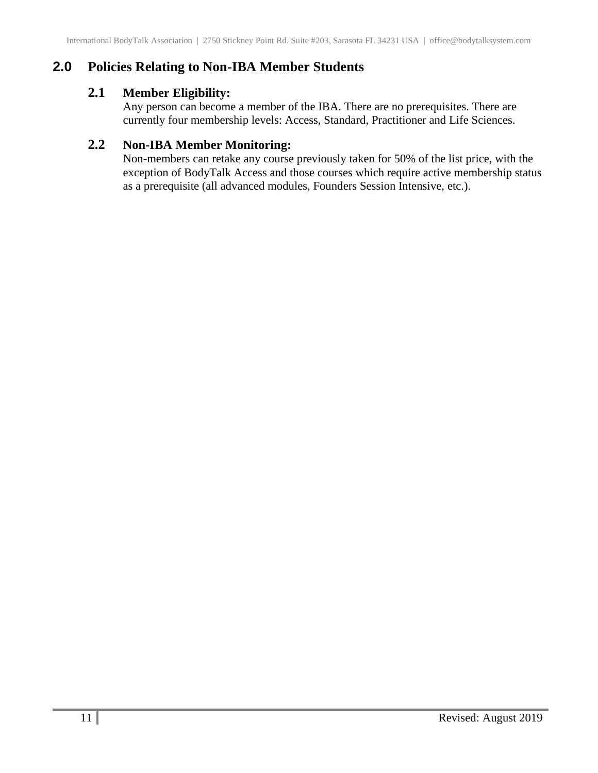## <span id="page-10-1"></span><span id="page-10-0"></span>**2.0 Policies Relating to Non-IBA Member Students**

## **2.1 Member Eligibility:**

Any person can become a member of the IBA. There are no prerequisites. There are currently four membership levels: Access, Standard, Practitioner and Life Sciences.

## <span id="page-10-2"></span>**2.2 Non-IBA Member Monitoring:**

Non-members can retake any course previously taken for 50% of the list price, with the exception of BodyTalk Access and those courses which require active membership status as a prerequisite (all advanced modules, Founders Session Intensive, etc.).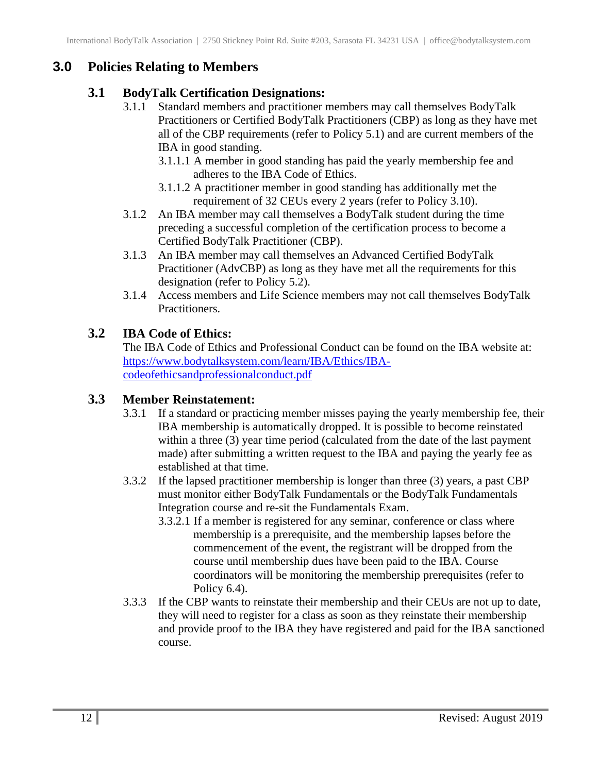## <span id="page-11-1"></span><span id="page-11-0"></span>**3.0 Policies Relating to Members**

### **3.1 BodyTalk Certification Designations:**

- 3.1.1 Standard members and practitioner members may call themselves BodyTalk Practitioners or Certified BodyTalk Practitioners (CBP) as long as they have met all of the CBP requirements (refer to Policy 5.1) and are current members of the IBA in good standing.
	- 3.1.1.1 A member in good standing has paid the yearly membership fee and adheres to the IBA Code of Ethics.
	- 3.1.1.2 A practitioner member in good standing has additionally met the requirement of 32 CEUs every 2 years (refer to Policy 3.10).
- 3.1.2 An IBA member may call themselves a BodyTalk student during the time preceding a successful completion of the certification process to become a Certified BodyTalk Practitioner (CBP).
- 3.1.3 An IBA member may call themselves an Advanced Certified BodyTalk Practitioner (AdvCBP) as long as they have met all the requirements for this designation (refer to Policy 5.2).
- 3.1.4 Access members and Life Science members may not call themselves BodyTalk Practitioners.

## <span id="page-11-2"></span>**3.2 IBA Code of Ethics:**

The IBA Code of Ethics and Professional Conduct can be found on the IBA website at: [https://www.bodytalksystem.com/learn/IBA/Ethics/IBA](https://www.bodytalksystem.com/learn/IBA/Ethics/IBA-codeofethicsandprofessionalconduct.pdf)[codeofethicsandprofessionalconduct.pdf](https://www.bodytalksystem.com/learn/IBA/Ethics/IBA-codeofethicsandprofessionalconduct.pdf)

## <span id="page-11-3"></span>**3.3 Member Reinstatement:**

- 3.3.1 If a standard or practicing member misses paying the yearly membership fee, their IBA membership is automatically dropped. It is possible to become reinstated within a three (3) year time period (calculated from the date of the last payment made) after submitting a written request to the IBA and paying the yearly fee as established at that time.
- 3.3.2 If the lapsed practitioner membership is longer than three (3) years, a past CBP must monitor either BodyTalk Fundamentals or the BodyTalk Fundamentals Integration course and re-sit the Fundamentals Exam.
	- 3.3.2.1 If a member is registered for any seminar, conference or class where membership is a prerequisite, and the membership lapses before the commencement of the event, the registrant will be dropped from the course until membership dues have been paid to the IBA. Course coordinators will be monitoring the membership prerequisites (refer to Policy 6.4).
- 3.3.3 If the CBP wants to reinstate their membership and their CEUs are not up to date, they will need to register for a class as soon as they reinstate their membership and provide proof to the IBA they have registered and paid for the IBA sanctioned course.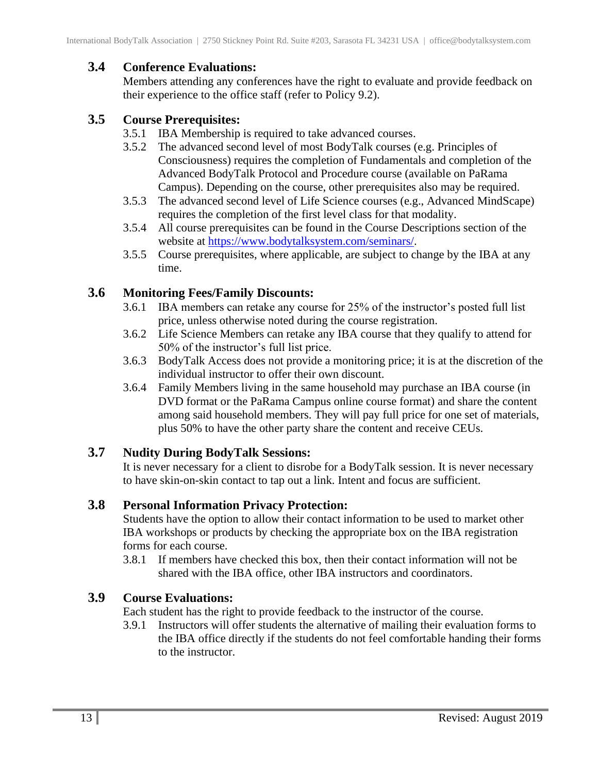## <span id="page-12-0"></span>**3.4 Conference Evaluations:**

Members attending any conferences have the right to evaluate and provide feedback on their experience to the office staff (refer to Policy 9.2).

## <span id="page-12-1"></span>**3.5 Course Prerequisites:**

- 3.5.1 IBA Membership is required to take advanced courses.
- 3.5.2 The advanced second level of most BodyTalk courses (e.g. Principles of Consciousness) requires the completion of Fundamentals and completion of the Advanced BodyTalk Protocol and Procedure course (available on PaRama Campus). Depending on the course, other prerequisites also may be required.
- 3.5.3 The advanced second level of Life Science courses (e.g., Advanced MindScape) requires the completion of the first level class for that modality.
- 3.5.4 All course prerequisites can be found in the Course Descriptions section of the website at [https://www.bodytalksystem.com/seminars/.](https://www.bodytalksystem.com/seminars/)
- 3.5.5 Course prerequisites, where applicable, are subject to change by the IBA at any time.

## <span id="page-12-2"></span>**3.6 Monitoring Fees/Family Discounts:**

- 3.6.1 IBA members can retake any course for 25% of the instructor's posted full list price, unless otherwise noted during the course registration.
- 3.6.2 Life Science Members can retake any IBA course that they qualify to attend for 50% of the instructor's full list price.
- 3.6.3 BodyTalk Access does not provide a monitoring price; it is at the discretion of the individual instructor to offer their own discount.
- 3.6.4 Family Members living in the same household may purchase an IBA course (in DVD format or the PaRama Campus online course format) and share the content among said household members. They will pay full price for one set of materials, plus 50% to have the other party share the content and receive CEUs.

## <span id="page-12-3"></span>**3.7 Nudity During BodyTalk Sessions:**

It is never necessary for a client to disrobe for a BodyTalk session. It is never necessary to have skin-on-skin contact to tap out a link. Intent and focus are sufficient.

## <span id="page-12-4"></span>**3.8 Personal Information Privacy Protection:**

Students have the option to allow their contact information to be used to market other IBA workshops or products by checking the appropriate box on the IBA registration forms for each course.

3.8.1 If members have checked this box, then their contact information will not be shared with the IBA office, other IBA instructors and coordinators.

## <span id="page-12-5"></span>**3.9 Course Evaluations:**

Each student has the right to provide feedback to the instructor of the course.

3.9.1 Instructors will offer students the alternative of mailing their evaluation forms to the IBA office directly if the students do not feel comfortable handing their forms to the instructor.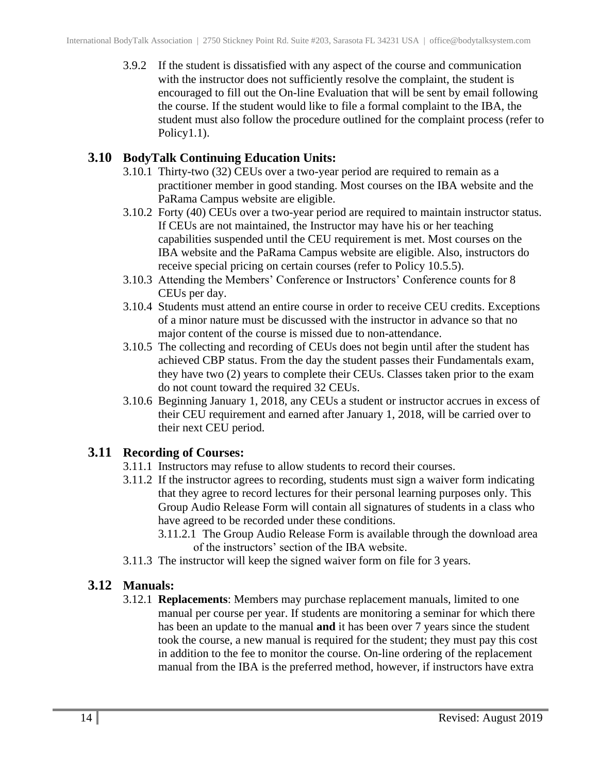3.9.2 If the student is dissatisfied with any aspect of the course and communication with the instructor does not sufficiently resolve the complaint, the student is encouraged to fill out the On-line Evaluation that will be sent by email following the course. If the student would like to file a formal complaint to the IBA, the student must also follow the procedure outlined for the complaint process (refer to Policy1.1).

#### <span id="page-13-0"></span>**3.10 BodyTalk Continuing Education Units:**

- 3.10.1 Thirty-two (32) CEUs over a two-year period are required to remain as a practitioner member in good standing. Most courses on the IBA website and the PaRama Campus website are eligible.
- 3.10.2 Forty (40) CEUs over a two-year period are required to maintain instructor status. If CEUs are not maintained, the Instructor may have his or her teaching capabilities suspended until the CEU requirement is met. Most courses on the IBA website and the PaRama Campus website are eligible. Also, instructors do receive special pricing on certain courses (refer to Policy 10.5.5).
- 3.10.3 Attending the Members' Conference or Instructors' Conference counts for 8 CEUs per day.
- 3.10.4 Students must attend an entire course in order to receive CEU credits. Exceptions of a minor nature must be discussed with the instructor in advance so that no major content of the course is missed due to non-attendance.
- 3.10.5 The collecting and recording of CEUs does not begin until after the student has achieved CBP status. From the day the student passes their Fundamentals exam, they have two (2) years to complete their CEUs. Classes taken prior to the exam do not count toward the required 32 CEUs.
- 3.10.6 Beginning January 1, 2018, any CEUs a student or instructor accrues in excess of their CEU requirement and earned after January 1, 2018, will be carried over to their next CEU period.

#### <span id="page-13-1"></span>**3.11 Recording of Courses:**

- 3.11.1 Instructors may refuse to allow students to record their courses.
- 3.11.2 If the instructor agrees to recording, students must sign a waiver form indicating that they agree to record lectures for their personal learning purposes only. This Group Audio Release Form will contain all signatures of students in a class who have agreed to be recorded under these conditions.
	- 3.11.2.1 The Group Audio Release Form is available through the download area of the instructors' section of the IBA website.
- 3.11.3 The instructor will keep the signed waiver form on file for 3 years.

## <span id="page-13-2"></span>**3.12 Manuals:**

3.12.1 **Replacements**: Members may purchase replacement manuals, limited to one manual per course per year. If students are monitoring a seminar for which there has been an update to the manual **and** it has been over 7 years since the student took the course, a new manual is required for the student; they must pay this cost in addition to the fee to monitor the course. On-line ordering of the replacement manual from the IBA is the preferred method, however, if instructors have extra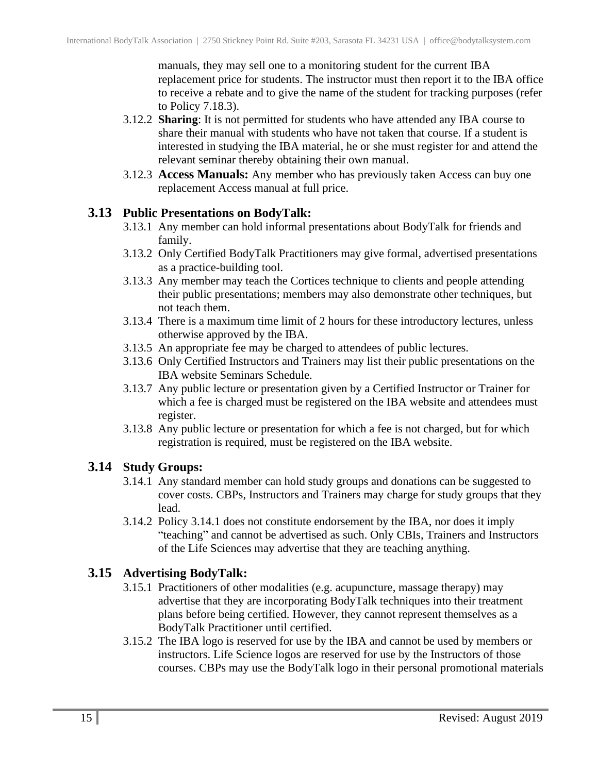manuals, they may sell one to a monitoring student for the current IBA replacement price for students. The instructor must then report it to the IBA office to receive a rebate and to give the name of the student for tracking purposes (refer to Policy 7.18.3).

- 3.12.2 **Sharing**: It is not permitted for students who have attended any IBA course to share their manual with students who have not taken that course. If a student is interested in studying the IBA material, he or she must register for and attend the relevant seminar thereby obtaining their own manual.
- 3.12.3 **Access Manuals:** Any member who has previously taken Access can buy one replacement Access manual at full price.

#### <span id="page-14-0"></span>**3.13 Public Presentations on BodyTalk:**

- 3.13.1 Any member can hold informal presentations about BodyTalk for friends and family.
- 3.13.2 Only Certified BodyTalk Practitioners may give formal, advertised presentations as a practice-building tool.
- 3.13.3 Any member may teach the Cortices technique to clients and people attending their public presentations; members may also demonstrate other techniques, but not teach them.
- 3.13.4 There is a maximum time limit of 2 hours for these introductory lectures, unless otherwise approved by the IBA.
- 3.13.5 An appropriate fee may be charged to attendees of public lectures.
- 3.13.6 Only Certified Instructors and Trainers may list their public presentations on the IBA website Seminars Schedule.
- 3.13.7 Any public lecture or presentation given by a Certified Instructor or Trainer for which a fee is charged must be registered on the IBA website and attendees must register.
- 3.13.8 Any public lecture or presentation for which a fee is not charged, but for which registration is required, must be registered on the IBA website.

#### <span id="page-14-1"></span>**3.14 Study Groups:**

- 3.14.1 Any standard member can hold study groups and donations can be suggested to cover costs. CBPs, Instructors and Trainers may charge for study groups that they lead.
- 3.14.2 Policy 3.14.1 does not constitute endorsement by the IBA, nor does it imply "teaching" and cannot be advertised as such. Only CBIs, Trainers and Instructors of the Life Sciences may advertise that they are teaching anything.

#### <span id="page-14-2"></span>**3.15 Advertising BodyTalk:**

- 3.15.1 Practitioners of other modalities (e.g. acupuncture, massage therapy) may advertise that they are incorporating BodyTalk techniques into their treatment plans before being certified. However, they cannot represent themselves as a BodyTalk Practitioner until certified.
- 3.15.2 The IBA logo is reserved for use by the IBA and cannot be used by members or instructors. Life Science logos are reserved for use by the Instructors of those courses. CBPs may use the BodyTalk logo in their personal promotional materials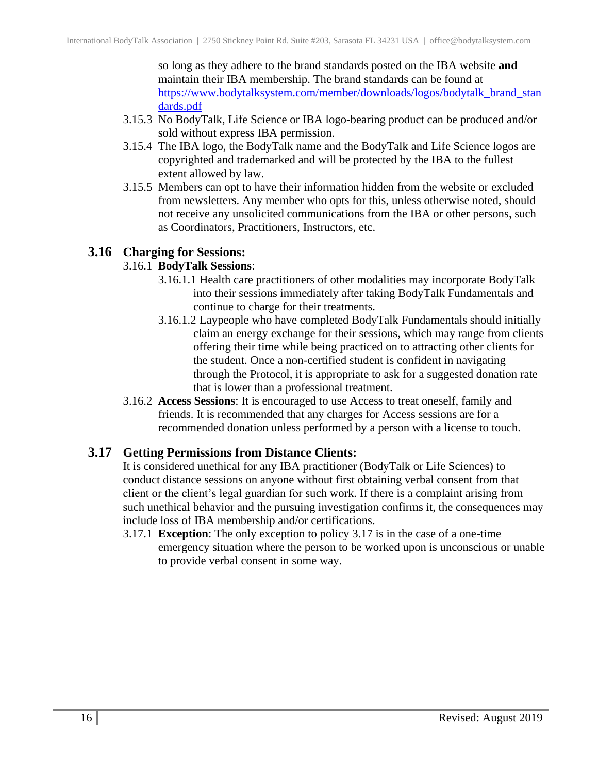so long as they adhere to the brand standards posted on the IBA website **and** maintain their IBA membership. The brand standards can be found at [https://www.bodytalksystem.com/member/downloads/logos/bodytalk\\_brand\\_stan](https://www.bodytalksystem.com/member/downloads/logos/bodytalk_brand_standards.pdf) [dards.pdf](https://www.bodytalksystem.com/member/downloads/logos/bodytalk_brand_standards.pdf)

- 3.15.3 No BodyTalk, Life Science or IBA logo-bearing product can be produced and/or sold without express IBA permission.
- 3.15.4 The IBA logo, the BodyTalk name and the BodyTalk and Life Science logos are copyrighted and trademarked and will be protected by the IBA to the fullest extent allowed by law.
- 3.15.5 Members can opt to have their information hidden from the website or excluded from newsletters. Any member who opts for this, unless otherwise noted, should not receive any unsolicited communications from the IBA or other persons, such as Coordinators, Practitioners, Instructors, etc.

#### <span id="page-15-0"></span>**3.16 Charging for Sessions:**

#### 3.16.1 **BodyTalk Sessions**:

- 3.16.1.1 Health care practitioners of other modalities may incorporate BodyTalk into their sessions immediately after taking BodyTalk Fundamentals and continue to charge for their treatments.
- 3.16.1.2 Laypeople who have completed BodyTalk Fundamentals should initially claim an energy exchange for their sessions, which may range from clients offering their time while being practiced on to attracting other clients for the student. Once a non-certified student is confident in navigating through the Protocol, it is appropriate to ask for a suggested donation rate that is lower than a professional treatment.
- 3.16.2 **Access Sessions**: It is encouraged to use Access to treat oneself, family and friends. It is recommended that any charges for Access sessions are for a recommended donation unless performed by a person with a license to touch.

#### <span id="page-15-1"></span>**3.17 Getting Permissions from Distance Clients:**

It is considered unethical for any IBA practitioner (BodyTalk or Life Sciences) to conduct distance sessions on anyone without first obtaining verbal consent from that client or the client's legal guardian for such work. If there is a complaint arising from such unethical behavior and the pursuing investigation confirms it, the consequences may include loss of IBA membership and/or certifications.

3.17.1 **Exception**: The only exception to policy 3.17 is in the case of a one-time emergency situation where the person to be worked upon is unconscious or unable to provide verbal consent in some way.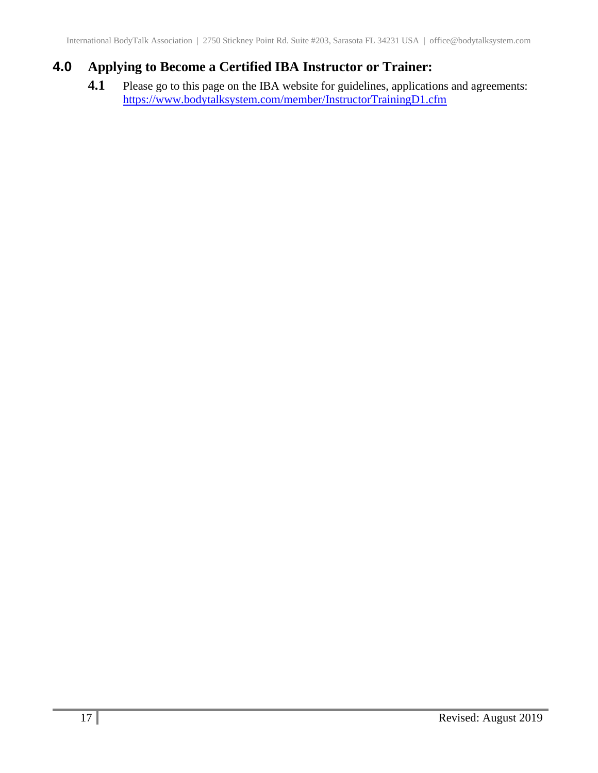## <span id="page-16-0"></span>**4.0 Applying to Become a Certified IBA Instructor or Trainer:**

**4.1** Please go to this page on the IBA website for guidelines, applications and agreements: <https://www.bodytalksystem.com/member/InstructorTrainingD1.cfm>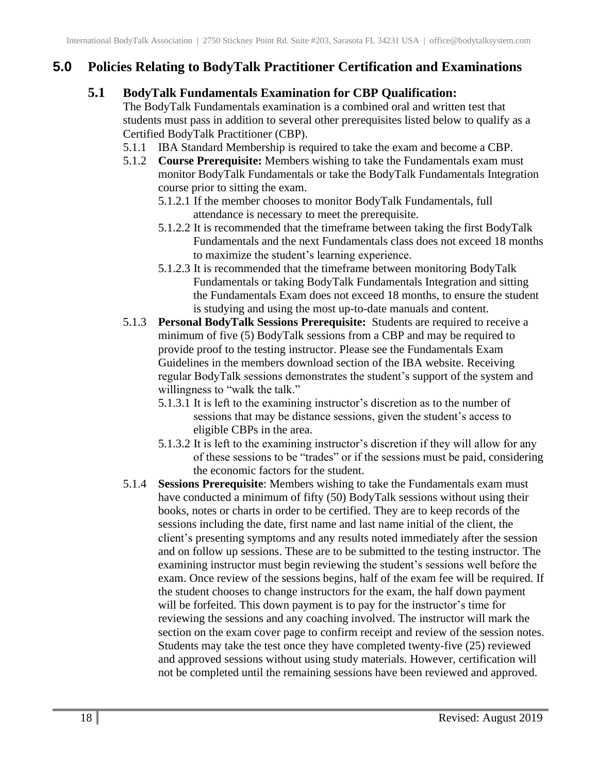## <span id="page-17-1"></span><span id="page-17-0"></span>**5.0 Policies Relating to BodyTalk Practitioner Certification and Examinations**

#### **5.1 BodyTalk Fundamentals Examination for CBP Qualification:**

The BodyTalk Fundamentals examination is a combined oral and written test that students must pass in addition to several other prerequisites listed below to qualify as a Certified BodyTalk Practitioner (CBP).

- 5.1.1 IBA Standard Membership is required to take the exam and become a CBP.
- 5.1.2 **Course Prerequisite:** Members wishing to take the Fundamentals exam must monitor BodyTalk Fundamentals or take the BodyTalk Fundamentals Integration course prior to sitting the exam.
	- 5.1.2.1 If the member chooses to monitor BodyTalk Fundamentals, full attendance is necessary to meet the prerequisite.
	- 5.1.2.2 It is recommended that the timeframe between taking the first BodyTalk Fundamentals and the next Fundamentals class does not exceed 18 months to maximize the student's learning experience.
	- 5.1.2.3 It is recommended that the timeframe between monitoring BodyTalk Fundamentals or taking BodyTalk Fundamentals Integration and sitting the Fundamentals Exam does not exceed 18 months, to ensure the student is studying and using the most up-to-date manuals and content.
- 5.1.3 **Personal BodyTalk Sessions Prerequisite:** Students are required to receive a minimum of five (5) BodyTalk sessions from a CBP and may be required to provide proof to the testing instructor. Please see the Fundamentals Exam Guidelines in the members download section of the IBA website. Receiving regular BodyTalk sessions demonstrates the student's support of the system and willingness to "walk the talk."
	- 5.1.3.1 It is left to the examining instructor's discretion as to the number of sessions that may be distance sessions, given the student's access to eligible CBPs in the area.
	- 5.1.3.2 It is left to the examining instructor's discretion if they will allow for any of these sessions to be "trades" or if the sessions must be paid, considering the economic factors for the student.
- 5.1.4 **Sessions Prerequisite**: Members wishing to take the Fundamentals exam must have conducted a minimum of fifty (50) BodyTalk sessions without using their books, notes or charts in order to be certified. They are to keep records of the sessions including the date, first name and last name initial of the client, the client's presenting symptoms and any results noted immediately after the session and on follow up sessions. These are to be submitted to the testing instructor. The examining instructor must begin reviewing the student's sessions well before the exam. Once review of the sessions begins, half of the exam fee will be required. If the student chooses to change instructors for the exam, the half down payment will be forfeited. This down payment is to pay for the instructor's time for reviewing the sessions and any coaching involved. The instructor will mark the section on the exam cover page to confirm receipt and review of the session notes. Students may take the test once they have completed twenty-five (25) reviewed and approved sessions without using study materials. However, certification will not be completed until the remaining sessions have been reviewed and approved.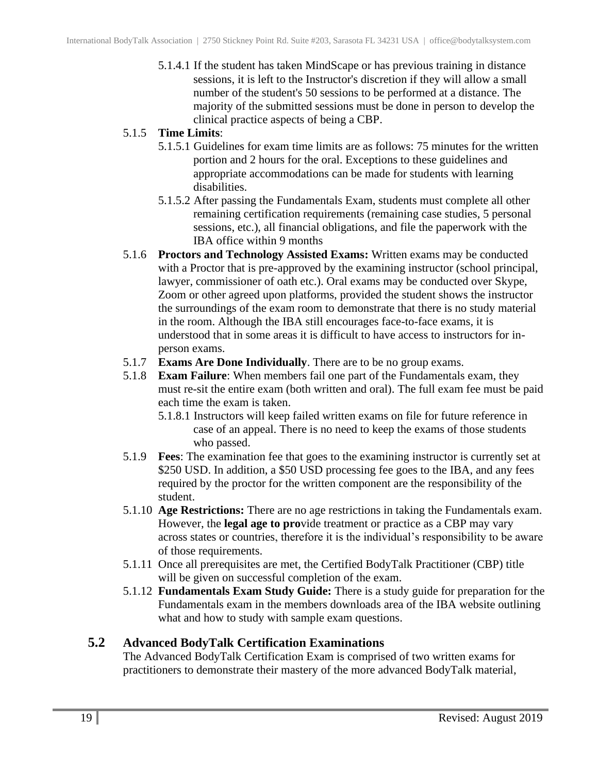5.1.4.1 If the student has taken MindScape or has previous training in distance sessions, it is left to the Instructor's discretion if they will allow a small number of the student's 50 sessions to be performed at a distance. The majority of the submitted sessions must be done in person to develop the clinical practice aspects of being a CBP.

#### 5.1.5 **Time Limits**:

- 5.1.5.1 Guidelines for exam time limits are as follows: 75 minutes for the written portion and 2 hours for the oral. Exceptions to these guidelines and appropriate accommodations can be made for students with learning disabilities.
- 5.1.5.2 After passing the Fundamentals Exam, students must complete all other remaining certification requirements (remaining case studies, 5 personal sessions, etc.), all financial obligations, and file the paperwork with the IBA office within 9 months
- 5.1.6 **Proctors and Technology Assisted Exams:** Written exams may be conducted with a Proctor that is pre-approved by the examining instructor (school principal, lawyer, commissioner of oath etc.). Oral exams may be conducted over Skype, Zoom or other agreed upon platforms, provided the student shows the instructor the surroundings of the exam room to demonstrate that there is no study material in the room. Although the IBA still encourages face-to-face exams, it is understood that in some areas it is difficult to have access to instructors for inperson exams.
- 5.1.7 **Exams Are Done Individually**. There are to be no group exams.
- 5.1.8 **Exam Failure**: When members fail one part of the Fundamentals exam, they must re-sit the entire exam (both written and oral). The full exam fee must be paid each time the exam is taken.
	- 5.1.8.1 Instructors will keep failed written exams on file for future reference in case of an appeal. There is no need to keep the exams of those students who passed.
- 5.1.9 **Fees**: The examination fee that goes to the examining instructor is currently set at \$250 USD. In addition, a \$50 USD processing fee goes to the IBA, and any fees required by the proctor for the written component are the responsibility of the student.
- 5.1.10 **Age Restrictions:** There are no age restrictions in taking the Fundamentals exam. However, the **legal age to pro**vide treatment or practice as a CBP may vary across states or countries, therefore it is the individual's responsibility to be aware of those requirements.
- 5.1.11 Once all prerequisites are met, the Certified BodyTalk Practitioner (CBP) title will be given on successful completion of the exam.
- 5.1.12 **Fundamentals Exam Study Guide:** There is a study guide for preparation for the Fundamentals exam in the members downloads area of the IBA website outlining what and how to study with sample exam questions.

#### <span id="page-18-0"></span>**5.2 Advanced BodyTalk Certification Examinations**

The Advanced BodyTalk Certification Exam is comprised of two written exams for practitioners to demonstrate their mastery of the more advanced BodyTalk material,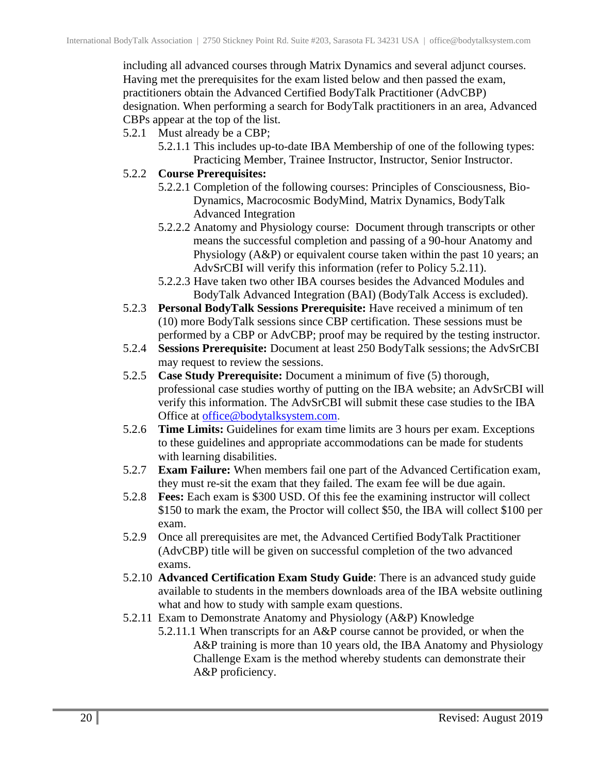including all advanced courses through Matrix Dynamics and several adjunct courses. Having met the prerequisites for the exam listed below and then passed the exam, practitioners obtain the Advanced Certified BodyTalk Practitioner (AdvCBP) designation. When performing a search for BodyTalk practitioners in an area, Advanced CBPs appear at the top of the list.

- 5.2.1 Must already be a CBP;
	- 5.2.1.1 This includes up-to-date IBA Membership of one of the following types: Practicing Member, Trainee Instructor, Instructor, Senior Instructor.
- 5.2.2 **Course Prerequisites:**
	- 5.2.2.1 Completion of the following courses: Principles of Consciousness, Bio-Dynamics, Macrocosmic BodyMind, Matrix Dynamics, BodyTalk Advanced Integration
	- 5.2.2.2 Anatomy and Physiology course: Document through transcripts or other means the successful completion and passing of a 90-hour Anatomy and Physiology (A&P) or equivalent course taken within the past 10 years; an AdvSrCBI will verify this information (refer to Policy 5.2.11).
	- 5.2.2.3 Have taken two other IBA courses besides the Advanced Modules and BodyTalk Advanced Integration (BAI) (BodyTalk Access is excluded).
- 5.2.3 **Personal BodyTalk Sessions Prerequisite:** Have received a minimum of ten (10) more BodyTalk sessions since CBP certification. These sessions must be performed by a CBP or AdvCBP; proof may be required by the testing instructor.
- 5.2.4 **Sessions Prerequisite:** Document at least 250 BodyTalk sessions; the AdvSrCBI may request to review the sessions.
- 5.2.5 **Case Study Prerequisite:** Document a minimum of five (5) thorough, professional case studies worthy of putting on the IBA website; an AdvSrCBI will verify this information. The AdvSrCBI will submit these case studies to the IBA Office at [office@bodytalksystem.com.](mailto:office@bodytalksystem.com)
- 5.2.6 **Time Limits:** Guidelines for exam time limits are 3 hours per exam. Exceptions to these guidelines and appropriate accommodations can be made for students with learning disabilities.
- 5.2.7 **Exam Failure:** When members fail one part of the Advanced Certification exam, they must re-sit the exam that they failed. The exam fee will be due again.
- 5.2.8 **Fees:** Each exam is \$300 USD. Of this fee the examining instructor will collect \$150 to mark the exam, the Proctor will collect \$50, the IBA will collect \$100 per exam.
- 5.2.9 Once all prerequisites are met, the Advanced Certified BodyTalk Practitioner (AdvCBP) title will be given on successful completion of the two advanced exams.
- 5.2.10 **Advanced Certification Exam Study Guide**: There is an advanced study guide available to students in the members downloads area of the IBA website outlining what and how to study with sample exam questions.
- 5.2.11 Exam to Demonstrate Anatomy and Physiology (A&P) Knowledge
	- 5.2.11.1 When transcripts for an A&P course cannot be provided, or when the A&P training is more than 10 years old, the IBA Anatomy and Physiology Challenge Exam is the method whereby students can demonstrate their A&P proficiency.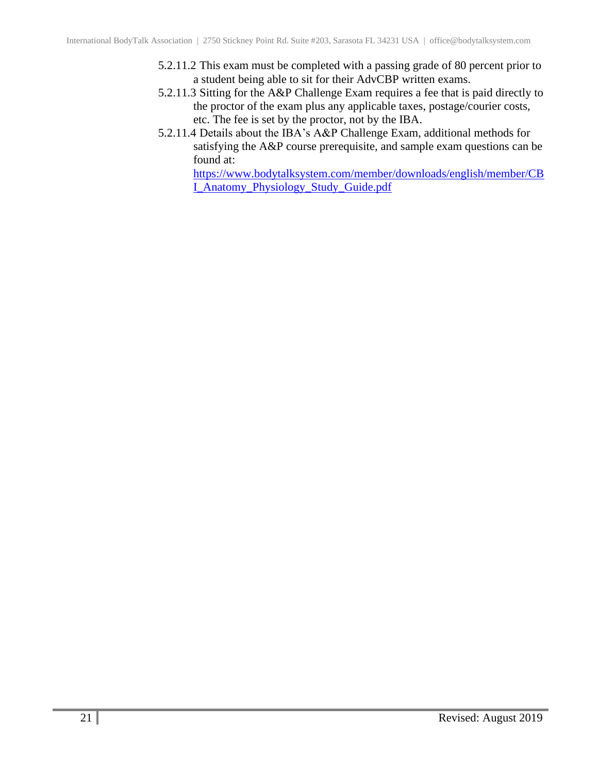- 5.2.11.2 This exam must be completed with a passing grade of 80 percent prior to a student being able to sit for their AdvCBP written exams.
- 5.2.11.3 Sitting for the A&P Challenge Exam requires a fee that is paid directly to the proctor of the exam plus any applicable taxes, postage/courier costs, etc. The fee is set by the proctor, not by the IBA.
- 5.2.11.4 Details about the IBA's A&P Challenge Exam, additional methods for satisfying the A&P course prerequisite, and sample exam questions can be found at:

[https://www.bodytalksystem.com/member/downloads/english/member/CB](https://www.bodytalksystem.com/member/downloads/english/member/CBI_Anatomy_Physiology_Study_Guide.pdf) [I\\_Anatomy\\_Physiology\\_Study\\_Guide.pdf](https://www.bodytalksystem.com/member/downloads/english/member/CBI_Anatomy_Physiology_Study_Guide.pdf)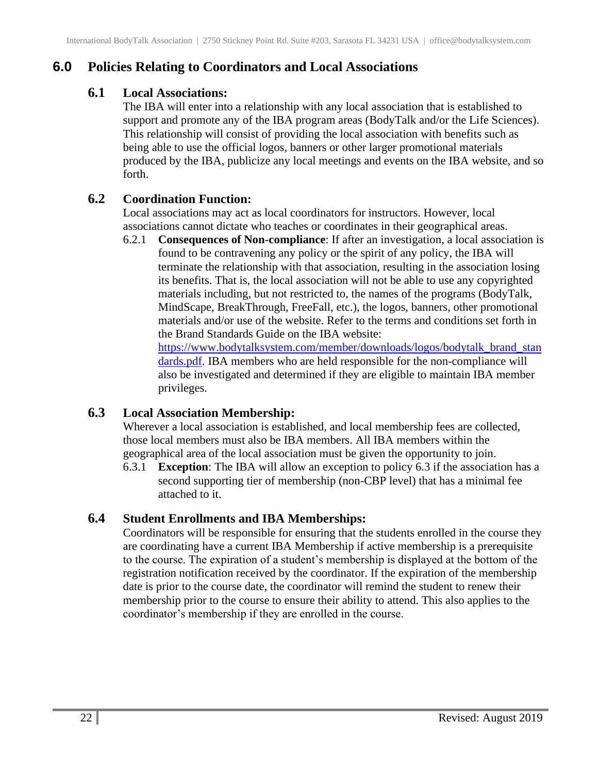## <span id="page-21-1"></span><span id="page-21-0"></span>**6.0 Policies Relating to Coordinators and Local Associations**

## **6.1 Local Associations:**

The IBA will enter into a relationship with any local association that is established to support and promote any of the IBA program areas (BodyTalk and/or the Life Sciences). This relationship will consist of providing the local association with benefits such as being able to use the official logos, banners or other larger promotional materials produced by the IBA, publicize any local meetings and events on the IBA website, and so forth.

## <span id="page-21-2"></span>**6.2 Coordination Function:**

Local associations may act as local coordinators for instructors. However, local associations cannot dictate who teaches or coordinates in their geographical areas.

6.2.1 **Consequences of Non-compliance**: If after an investigation, a local association is found to be contravening any policy or the spirit of any policy, the IBA will terminate the relationship with that association, resulting in the association losing its benefits. That is, the local association will not be able to use any copyrighted materials including, but not restricted to, the names of the programs (BodyTalk, MindScape, BreakThrough, FreeFall, etc.), the logos, banners, other promotional materials and/or use of the website. Refer to the terms and conditions set forth in the Brand Standards Guide on the IBA website:

[https://www.bodytalksystem.com/member/downloads/logos/bodytalk\\_brand\\_stan](https://www.bodytalksystem.com/member/downloads/logos/bodytalk_brand_standards.pdf) [dards.pdf.](https://www.bodytalksystem.com/member/downloads/logos/bodytalk_brand_standards.pdf) IBA members who are held responsible for the non-compliance will also be investigated and determined if they are eligible to maintain IBA member privileges.

## <span id="page-21-3"></span>**6.3 Local Association Membership:**

Wherever a local association is established, and local membership fees are collected, those local members must also be IBA members. All IBA members within the geographical area of the local association must be given the opportunity to join.

6.3.1 **Exception**: The IBA will allow an exception to policy 6.3 if the association has a second supporting tier of membership (non-CBP level) that has a minimal fee attached to it.

## <span id="page-21-4"></span>**6.4 Student Enrollments and IBA Memberships:**

Coordinators will be responsible for ensuring that the students enrolled in the course they are coordinating have a current IBA Membership if active membership is a prerequisite to the course. The expiration of a student's membership is displayed at the bottom of the registration notification received by the coordinator. If the expiration of the membership date is prior to the course date, the coordinator will remind the student to renew their membership prior to the course to ensure their ability to attend. This also applies to the coordinator's membership if they are enrolled in the course.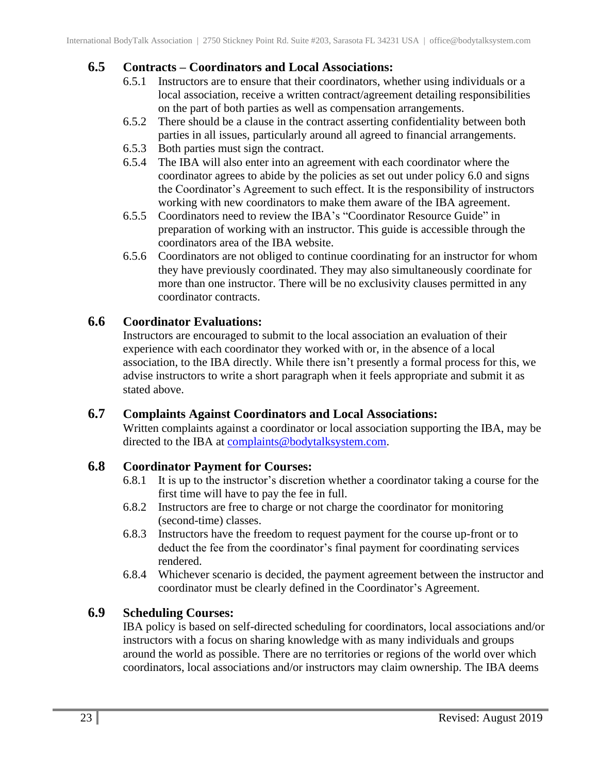#### <span id="page-22-0"></span>**6.5 Contracts – Coordinators and Local Associations:**

- 6.5.1 Instructors are to ensure that their coordinators, whether using individuals or a local association, receive a written contract/agreement detailing responsibilities on the part of both parties as well as compensation arrangements.
- 6.5.2 There should be a clause in the contract asserting confidentiality between both parties in all issues, particularly around all agreed to financial arrangements.
- 6.5.3 Both parties must sign the contract.
- 6.5.4 The IBA will also enter into an agreement with each coordinator where the coordinator agrees to abide by the policies as set out under policy 6.0 and signs the Coordinator's Agreement to such effect. It is the responsibility of instructors working with new coordinators to make them aware of the IBA agreement.
- 6.5.5 Coordinators need to review the IBA's "Coordinator Resource Guide" in preparation of working with an instructor. This guide is accessible through the coordinators area of the IBA website.
- 6.5.6 Coordinators are not obliged to continue coordinating for an instructor for whom they have previously coordinated. They may also simultaneously coordinate for more than one instructor. There will be no exclusivity clauses permitted in any coordinator contracts.

#### <span id="page-22-1"></span>**6.6 Coordinator Evaluations:**

Instructors are encouraged to submit to the local association an evaluation of their experience with each coordinator they worked with or, in the absence of a local association, to the IBA directly. While there isn't presently a formal process for this, we advise instructors to write a short paragraph when it feels appropriate and submit it as stated above.

#### <span id="page-22-2"></span>**6.7 Complaints Against Coordinators and Local Associations:**

Written complaints against a coordinator or local association supporting the IBA, may be directed to the IBA at [complaints@bodytalksystem.com.](mailto:complaints@bodytalksystem.com)

#### <span id="page-22-3"></span>**6.8 Coordinator Payment for Courses:**

- 6.8.1 It is up to the instructor's discretion whether a coordinator taking a course for the first time will have to pay the fee in full.
- 6.8.2 Instructors are free to charge or not charge the coordinator for monitoring (second-time) classes.
- 6.8.3 Instructors have the freedom to request payment for the course up-front or to deduct the fee from the coordinator's final payment for coordinating services rendered.
- 6.8.4 Whichever scenario is decided, the payment agreement between the instructor and coordinator must be clearly defined in the Coordinator's Agreement.

## <span id="page-22-4"></span>**6.9 Scheduling Courses:**

IBA policy is based on self-directed scheduling for coordinators, local associations and/or instructors with a focus on sharing knowledge with as many individuals and groups around the world as possible. There are no territories or regions of the world over which coordinators, local associations and/or instructors may claim ownership. The IBA deems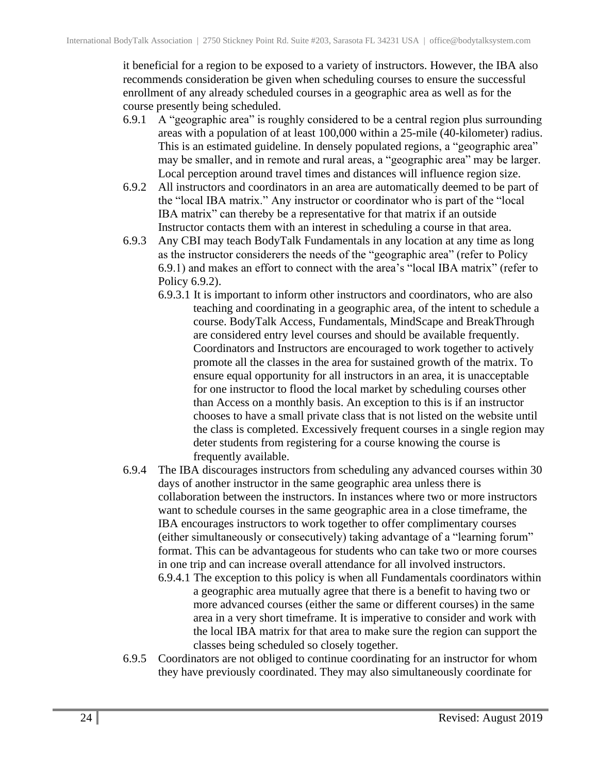it beneficial for a region to be exposed to a variety of instructors. However, the IBA also recommends consideration be given when scheduling courses to ensure the successful enrollment of any already scheduled courses in a geographic area as well as for the course presently being scheduled.

- 6.9.1 A "geographic area" is roughly considered to be a central region plus surrounding areas with a population of at least 100,000 within a 25-mile (40-kilometer) radius. This is an estimated guideline. In densely populated regions, a "geographic area" may be smaller, and in remote and rural areas, a "geographic area" may be larger. Local perception around travel times and distances will influence region size.
- 6.9.2 All instructors and coordinators in an area are automatically deemed to be part of the "local IBA matrix." Any instructor or coordinator who is part of the "local IBA matrix" can thereby be a representative for that matrix if an outside Instructor contacts them with an interest in scheduling a course in that area.
- 6.9.3 Any CBI may teach BodyTalk Fundamentals in any location at any time as long as the instructor considerers the needs of the "geographic area" (refer to Policy 6.9.1) and makes an effort to connect with the area's "local IBA matrix" (refer to Policy 6.9.2).
	- 6.9.3.1 It is important to inform other instructors and coordinators, who are also teaching and coordinating in a geographic area, of the intent to schedule a course. BodyTalk Access, Fundamentals, MindScape and BreakThrough are considered entry level courses and should be available frequently. Coordinators and Instructors are encouraged to work together to actively promote all the classes in the area for sustained growth of the matrix. To ensure equal opportunity for all instructors in an area, it is unacceptable for one instructor to flood the local market by scheduling courses other than Access on a monthly basis. An exception to this is if an instructor chooses to have a small private class that is not listed on the website until the class is completed. Excessively frequent courses in a single region may deter students from registering for a course knowing the course is frequently available.
- 6.9.4 The IBA discourages instructors from scheduling any advanced courses within 30 days of another instructor in the same geographic area unless there is collaboration between the instructors. In instances where two or more instructors want to schedule courses in the same geographic area in a close timeframe, the IBA encourages instructors to work together to offer complimentary courses (either simultaneously or consecutively) taking advantage of a "learning forum" format. This can be advantageous for students who can take two or more courses in one trip and can increase overall attendance for all involved instructors.
	- 6.9.4.1 The exception to this policy is when all Fundamentals coordinators within a geographic area mutually agree that there is a benefit to having two or more advanced courses (either the same or different courses) in the same area in a very short timeframe. It is imperative to consider and work with the local IBA matrix for that area to make sure the region can support the classes being scheduled so closely together.
- 6.9.5 Coordinators are not obliged to continue coordinating for an instructor for whom they have previously coordinated. They may also simultaneously coordinate for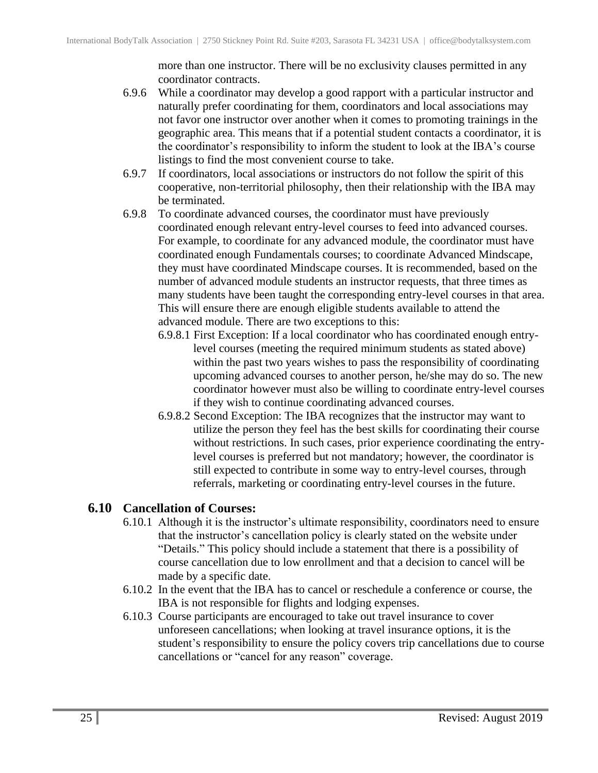more than one instructor. There will be no exclusivity clauses permitted in any coordinator contracts.

- 6.9.6 While a coordinator may develop a good rapport with a particular instructor and naturally prefer coordinating for them, coordinators and local associations may not favor one instructor over another when it comes to promoting trainings in the geographic area. This means that if a potential student contacts a coordinator, it is the coordinator's responsibility to inform the student to look at the IBA's course listings to find the most convenient course to take.
- 6.9.7 If coordinators, local associations or instructors do not follow the spirit of this cooperative, non-territorial philosophy, then their relationship with the IBA may be terminated.
- 6.9.8 To coordinate advanced courses, the coordinator must have previously coordinated enough relevant entry-level courses to feed into advanced courses. For example, to coordinate for any advanced module, the coordinator must have coordinated enough Fundamentals courses; to coordinate Advanced Mindscape, they must have coordinated Mindscape courses. It is recommended, based on the number of advanced module students an instructor requests, that three times as many students have been taught the corresponding entry-level courses in that area. This will ensure there are enough eligible students available to attend the advanced module. There are two exceptions to this:
	- 6.9.8.1 First Exception: If a local coordinator who has coordinated enough entrylevel courses (meeting the required minimum students as stated above) within the past two years wishes to pass the responsibility of coordinating upcoming advanced courses to another person, he/she may do so. The new coordinator however must also be willing to coordinate entry-level courses if they wish to continue coordinating advanced courses.
	- 6.9.8.2 Second Exception: The IBA recognizes that the instructor may want to utilize the person they feel has the best skills for coordinating their course without restrictions. In such cases, prior experience coordinating the entrylevel courses is preferred but not mandatory; however, the coordinator is still expected to contribute in some way to entry-level courses, through referrals, marketing or coordinating entry-level courses in the future.

#### <span id="page-24-0"></span>**6.10 Cancellation of Courses:**

- 6.10.1 Although it is the instructor's ultimate responsibility, coordinators need to ensure that the instructor's cancellation policy is clearly stated on the website under "Details." This policy should include a statement that there is a possibility of course cancellation due to low enrollment and that a decision to cancel will be made by a specific date.
- 6.10.2 In the event that the IBA has to cancel or reschedule a conference or course, the IBA is not responsible for flights and lodging expenses.
- 6.10.3 Course participants are encouraged to take out travel insurance to cover unforeseen cancellations; when looking at travel insurance options, it is the student's responsibility to ensure the policy covers trip cancellations due to course cancellations or "cancel for any reason" coverage.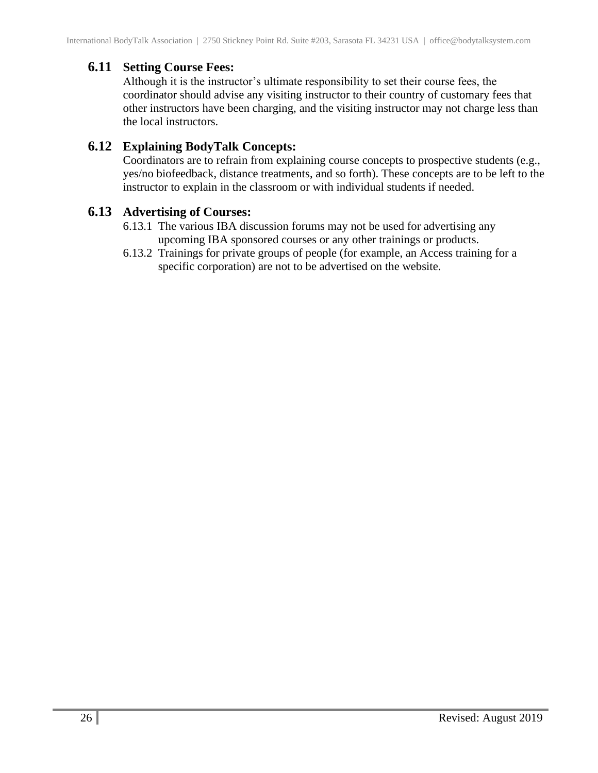#### <span id="page-25-0"></span>**6.11 Setting Course Fees:**

Although it is the instructor's ultimate responsibility to set their course fees, the coordinator should advise any visiting instructor to their country of customary fees that other instructors have been charging, and the visiting instructor may not charge less than the local instructors.

#### <span id="page-25-1"></span>**6.12 Explaining BodyTalk Concepts:**

Coordinators are to refrain from explaining course concepts to prospective students (e.g., yes/no biofeedback, distance treatments, and so forth). These concepts are to be left to the instructor to explain in the classroom or with individual students if needed.

#### <span id="page-25-2"></span>**6.13 Advertising of Courses:**

- 6.13.1 The various IBA discussion forums may not be used for advertising any upcoming IBA sponsored courses or any other trainings or products.
- 6.13.2 Trainings for private groups of people (for example, an Access training for a specific corporation) are not to be advertised on the website.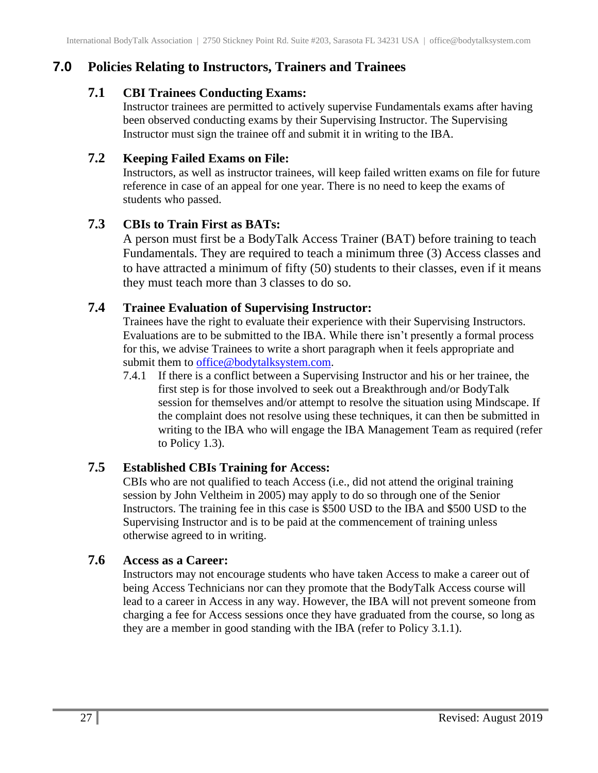## <span id="page-26-1"></span><span id="page-26-0"></span>**7.0 Policies Relating to Instructors, Trainers and Trainees**

### **7.1 CBI Trainees Conducting Exams:**

Instructor trainees are permitted to actively supervise Fundamentals exams after having been observed conducting exams by their Supervising Instructor. The Supervising Instructor must sign the trainee off and submit it in writing to the IBA.

### <span id="page-26-2"></span>**7.2 Keeping Failed Exams on File:**

Instructors, as well as instructor trainees, will keep failed written exams on file for future reference in case of an appeal for one year. There is no need to keep the exams of students who passed.

## <span id="page-26-3"></span>**7.3 CBIs to Train First as BATs:**

A person must first be a BodyTalk Access Trainer (BAT) before training to teach Fundamentals. They are required to teach a minimum three (3) Access classes and to have attracted a minimum of fifty (50) students to their classes, even if it means they must teach more than 3 classes to do so.

## <span id="page-26-4"></span>**7.4 Trainee Evaluation of Supervising Instructor:**

Trainees have the right to evaluate their experience with their Supervising Instructors. Evaluations are to be submitted to the IBA. While there isn't presently a formal process for this, we advise Trainees to write a short paragraph when it feels appropriate and submit them to [office@bodytalksystem.com.](mailto:office@bodytalksystem.com)

7.4.1 If there is a conflict between a Supervising Instructor and his or her trainee, the first step is for those involved to seek out a Breakthrough and/or BodyTalk session for themselves and/or attempt to resolve the situation using Mindscape. If the complaint does not resolve using these techniques, it can then be submitted in writing to the IBA who will engage the IBA Management Team as required (refer to Policy 1.3).

## <span id="page-26-5"></span>**7.5 Established CBIs Training for Access:**

CBIs who are not qualified to teach Access (i.e., did not attend the original training session by John Veltheim in 2005) may apply to do so through one of the Senior Instructors. The training fee in this case is \$500 USD to the IBA and \$500 USD to the Supervising Instructor and is to be paid at the commencement of training unless otherwise agreed to in writing.

## <span id="page-26-6"></span>**7.6 Access as a Career:**

Instructors may not encourage students who have taken Access to make a career out of being Access Technicians nor can they promote that the BodyTalk Access course will lead to a career in Access in any way. However, the IBA will not prevent someone from charging a fee for Access sessions once they have graduated from the course, so long as they are a member in good standing with the IBA (refer to Policy 3.1.1).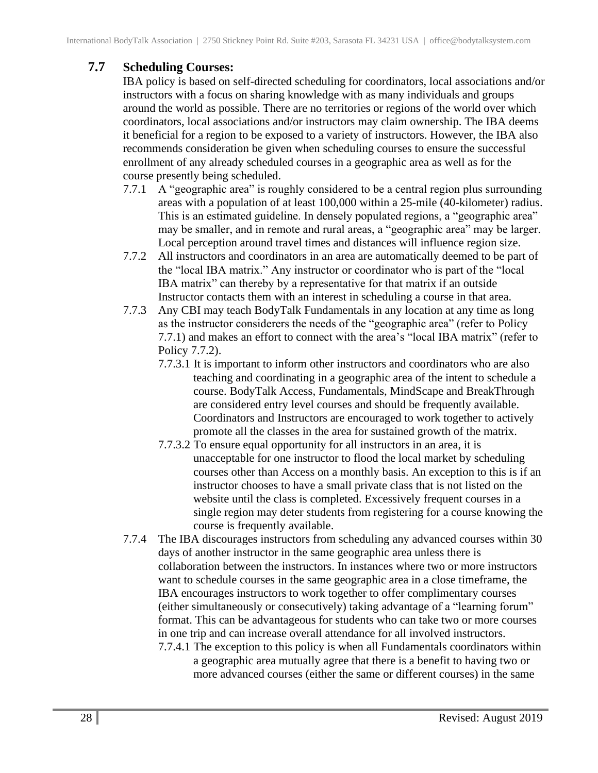## <span id="page-27-0"></span>**7.7 Scheduling Courses:**

IBA policy is based on self-directed scheduling for coordinators, local associations and/or instructors with a focus on sharing knowledge with as many individuals and groups around the world as possible. There are no territories or regions of the world over which coordinators, local associations and/or instructors may claim ownership. The IBA deems it beneficial for a region to be exposed to a variety of instructors. However, the IBA also recommends consideration be given when scheduling courses to ensure the successful enrollment of any already scheduled courses in a geographic area as well as for the course presently being scheduled.

- 7.7.1 A "geographic area" is roughly considered to be a central region plus surrounding areas with a population of at least 100,000 within a 25-mile (40-kilometer) radius. This is an estimated guideline. In densely populated regions, a "geographic area" may be smaller, and in remote and rural areas, a "geographic area" may be larger. Local perception around travel times and distances will influence region size.
- 7.7.2 All instructors and coordinators in an area are automatically deemed to be part of the "local IBA matrix." Any instructor or coordinator who is part of the "local IBA matrix" can thereby by a representative for that matrix if an outside Instructor contacts them with an interest in scheduling a course in that area.
- 7.7.3 Any CBI may teach BodyTalk Fundamentals in any location at any time as long as the instructor considerers the needs of the "geographic area" (refer to Policy 7.7.1) and makes an effort to connect with the area's "local IBA matrix" (refer to Policy 7.7.2).
	- 7.7.3.1 It is important to inform other instructors and coordinators who are also teaching and coordinating in a geographic area of the intent to schedule a course. BodyTalk Access, Fundamentals, MindScape and BreakThrough are considered entry level courses and should be frequently available. Coordinators and Instructors are encouraged to work together to actively promote all the classes in the area for sustained growth of the matrix.
	- 7.7.3.2 To ensure equal opportunity for all instructors in an area, it is unacceptable for one instructor to flood the local market by scheduling courses other than Access on a monthly basis. An exception to this is if an instructor chooses to have a small private class that is not listed on the website until the class is completed. Excessively frequent courses in a single region may deter students from registering for a course knowing the course is frequently available.
- 7.7.4 The IBA discourages instructors from scheduling any advanced courses within 30 days of another instructor in the same geographic area unless there is collaboration between the instructors. In instances where two or more instructors want to schedule courses in the same geographic area in a close timeframe, the IBA encourages instructors to work together to offer complimentary courses (either simultaneously or consecutively) taking advantage of a "learning forum" format. This can be advantageous for students who can take two or more courses in one trip and can increase overall attendance for all involved instructors.
	- 7.7.4.1 The exception to this policy is when all Fundamentals coordinators within a geographic area mutually agree that there is a benefit to having two or more advanced courses (either the same or different courses) in the same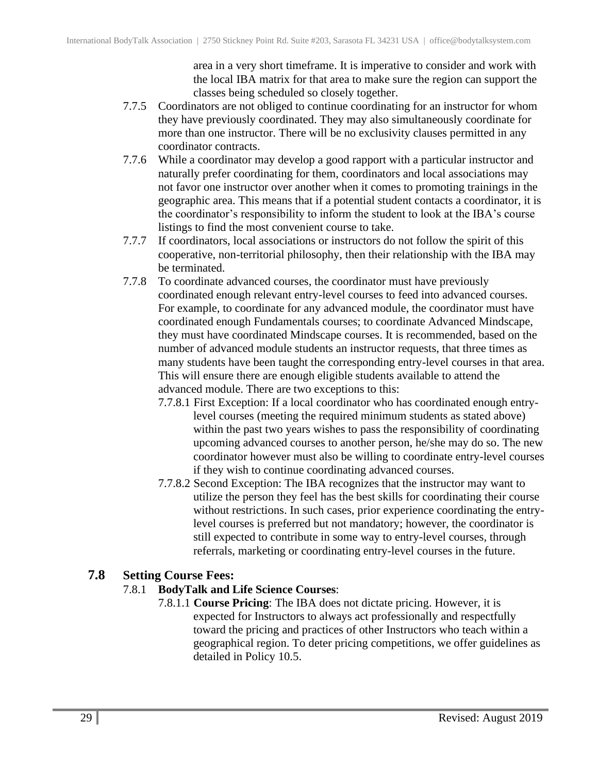area in a very short timeframe. It is imperative to consider and work with the local IBA matrix for that area to make sure the region can support the classes being scheduled so closely together.

- 7.7.5 Coordinators are not obliged to continue coordinating for an instructor for whom they have previously coordinated. They may also simultaneously coordinate for more than one instructor. There will be no exclusivity clauses permitted in any coordinator contracts.
- 7.7.6 While a coordinator may develop a good rapport with a particular instructor and naturally prefer coordinating for them, coordinators and local associations may not favor one instructor over another when it comes to promoting trainings in the geographic area. This means that if a potential student contacts a coordinator, it is the coordinator's responsibility to inform the student to look at the IBA's course listings to find the most convenient course to take.
- 7.7.7 If coordinators, local associations or instructors do not follow the spirit of this cooperative, non-territorial philosophy, then their relationship with the IBA may be terminated.
- 7.7.8 To coordinate advanced courses, the coordinator must have previously coordinated enough relevant entry-level courses to feed into advanced courses. For example, to coordinate for any advanced module, the coordinator must have coordinated enough Fundamentals courses; to coordinate Advanced Mindscape, they must have coordinated Mindscape courses. It is recommended, based on the number of advanced module students an instructor requests, that three times as many students have been taught the corresponding entry-level courses in that area. This will ensure there are enough eligible students available to attend the advanced module. There are two exceptions to this:
	- 7.7.8.1 First Exception: If a local coordinator who has coordinated enough entrylevel courses (meeting the required minimum students as stated above) within the past two years wishes to pass the responsibility of coordinating upcoming advanced courses to another person, he/she may do so. The new coordinator however must also be willing to coordinate entry-level courses if they wish to continue coordinating advanced courses.
	- 7.7.8.2 Second Exception: The IBA recognizes that the instructor may want to utilize the person they feel has the best skills for coordinating their course without restrictions. In such cases, prior experience coordinating the entrylevel courses is preferred but not mandatory; however, the coordinator is still expected to contribute in some way to entry-level courses, through referrals, marketing or coordinating entry-level courses in the future.

## <span id="page-28-0"></span>**7.8 Setting Course Fees:**

#### 7.8.1 **BodyTalk and Life Science Courses**:

7.8.1.1 **Course Pricing**: The IBA does not dictate pricing. However, it is expected for Instructors to always act professionally and respectfully toward the pricing and practices of other Instructors who teach within a geographical region. To deter pricing competitions, we offer guidelines as detailed in Policy 10.5.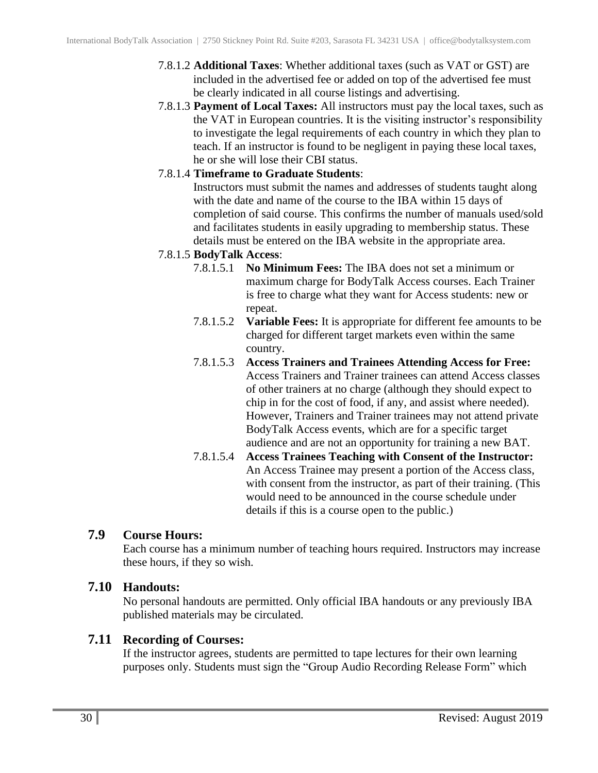- 7.8.1.2 **Additional Taxes**: Whether additional taxes (such as VAT or GST) are included in the advertised fee or added on top of the advertised fee must be clearly indicated in all course listings and advertising.
- 7.8.1.3 **Payment of Local Taxes:** All instructors must pay the local taxes, such as the VAT in European countries. It is the visiting instructor's responsibility to investigate the legal requirements of each country in which they plan to teach. If an instructor is found to be negligent in paying these local taxes, he or she will lose their CBI status.
- 7.8.1.4 **Timeframe to Graduate Students**:

Instructors must submit the names and addresses of students taught along with the date and name of the course to the IBA within 15 days of completion of said course. This confirms the number of manuals used/sold and facilitates students in easily upgrading to membership status. These details must be entered on the IBA website in the appropriate area.

#### 7.8.1.5 **BodyTalk Access**:

- 7.8.1.5.1 **No Minimum Fees:** The IBA does not set a minimum or maximum charge for BodyTalk Access courses. Each Trainer is free to charge what they want for Access students: new or repeat.
- 7.8.1.5.2 **Variable Fees:** It is appropriate for different fee amounts to be charged for different target markets even within the same country.
- 7.8.1.5.3 **Access Trainers and Trainees Attending Access for Free:** Access Trainers and Trainer trainees can attend Access classes of other trainers at no charge (although they should expect to chip in for the cost of food, if any, and assist where needed). However, Trainers and Trainer trainees may not attend private BodyTalk Access events, which are for a specific target audience and are not an opportunity for training a new BAT.
- 7.8.1.5.4 **Access Trainees Teaching with Consent of the Instructor:** An Access Trainee may present a portion of the Access class, with consent from the instructor, as part of their training. (This would need to be announced in the course schedule under details if this is a course open to the public.)

#### <span id="page-29-0"></span>**7.9 Course Hours:**

Each course has a minimum number of teaching hours required. Instructors may increase these hours, if they so wish.

## <span id="page-29-1"></span>**7.10 Handouts:**

No personal handouts are permitted. Only official IBA handouts or any previously IBA published materials may be circulated.

#### <span id="page-29-2"></span>**7.11 Recording of Courses:**

If the instructor agrees, students are permitted to tape lectures for their own learning purposes only. Students must sign the "Group Audio Recording Release Form" which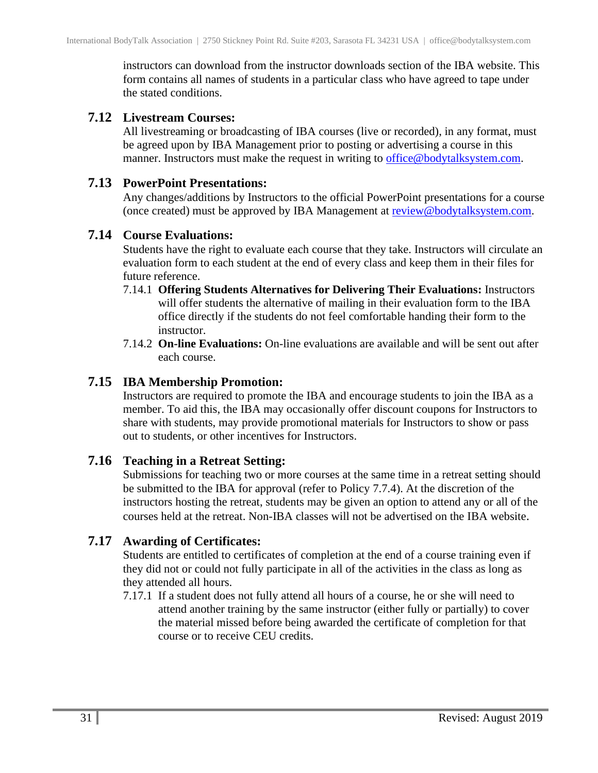instructors can download from the instructor downloads section of the IBA website. This form contains all names of students in a particular class who have agreed to tape under the stated conditions.

#### <span id="page-30-0"></span>**7.12 Livestream Courses:**

All livestreaming or broadcasting of IBA courses (live or recorded), in any format, must be agreed upon by IBA Management prior to posting or advertising a course in this manner. Instructors must make the request in writing to [office@bodytalksystem.com.](mailto:office@bodytalksystem.com)

#### <span id="page-30-1"></span>**7.13 PowerPoint Presentations:**

Any changes/additions by Instructors to the official PowerPoint presentations for a course (once created) must be approved by IBA Management at [review@bodytalksystem.com.](mailto:review@bodytalksystem.com)

#### <span id="page-30-2"></span>**7.14 Course Evaluations:**

Students have the right to evaluate each course that they take. Instructors will circulate an evaluation form to each student at the end of every class and keep them in their files for future reference.

- 7.14.1 **Offering Students Alternatives for Delivering Their Evaluations:** Instructors will offer students the alternative of mailing in their evaluation form to the IBA office directly if the students do not feel comfortable handing their form to the instructor.
- 7.14.2 **On-line Evaluations:** On-line evaluations are available and will be sent out after each course.

#### <span id="page-30-3"></span>**7.15 IBA Membership Promotion:**

Instructors are required to promote the IBA and encourage students to join the IBA as a member. To aid this, the IBA may occasionally offer discount coupons for Instructors to share with students, may provide promotional materials for Instructors to show or pass out to students, or other incentives for Instructors.

## <span id="page-30-4"></span>**7.16 Teaching in a Retreat Setting:**

Submissions for teaching two or more courses at the same time in a retreat setting should be submitted to the IBA for approval (refer to Policy 7.7.4). At the discretion of the instructors hosting the retreat, students may be given an option to attend any or all of the courses held at the retreat. Non-IBA classes will not be advertised on the IBA website.

#### <span id="page-30-5"></span>**7.17 Awarding of Certificates:**

Students are entitled to certificates of completion at the end of a course training even if they did not or could not fully participate in all of the activities in the class as long as they attended all hours.

7.17.1 If a student does not fully attend all hours of a course, he or she will need to attend another training by the same instructor (either fully or partially) to cover the material missed before being awarded the certificate of completion for that course or to receive CEU credits.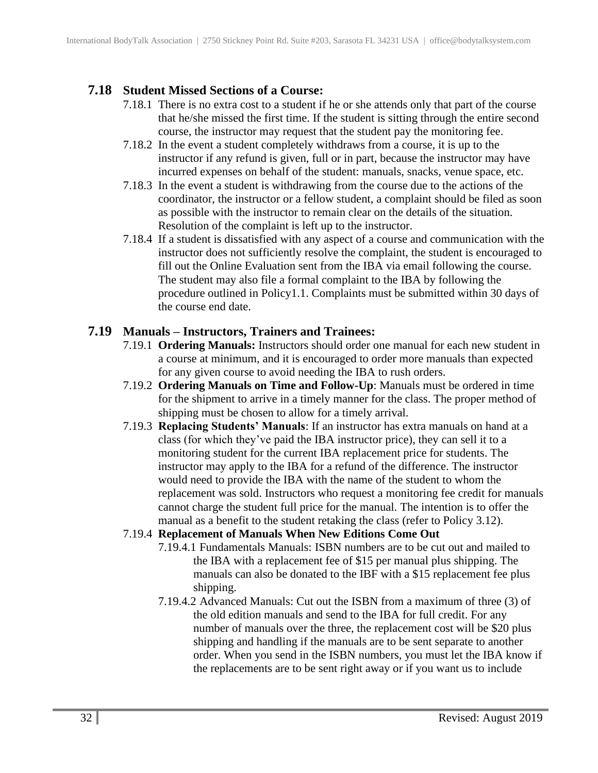## <span id="page-31-0"></span>**7.18 Student Missed Sections of a Course:**

- 7.18.1 There is no extra cost to a student if he or she attends only that part of the course that he/she missed the first time. If the student is sitting through the entire second course, the instructor may request that the student pay the monitoring fee.
- 7.18.2 In the event a student completely withdraws from a course, it is up to the instructor if any refund is given, full or in part, because the instructor may have incurred expenses on behalf of the student: manuals, snacks, venue space, etc.
- 7.18.3 In the event a student is withdrawing from the course due to the actions of the coordinator, the instructor or a fellow student, a complaint should be filed as soon as possible with the instructor to remain clear on the details of the situation. Resolution of the complaint is left up to the instructor.
- 7.18.4 If a student is dissatisfied with any aspect of a course and communication with the instructor does not sufficiently resolve the complaint, the student is encouraged to fill out the Online Evaluation sent from the IBA via email following the course. The student may also file a formal complaint to the IBA by following the procedure outlined in Policy1.1. Complaints must be submitted within 30 days of the course end date.

#### <span id="page-31-1"></span>**7.19 Manuals – Instructors, Trainers and Trainees:**

- 7.19.1 **Ordering Manuals:** Instructors should order one manual for each new student in a course at minimum, and it is encouraged to order more manuals than expected for any given course to avoid needing the IBA to rush orders.
- 7.19.2 **Ordering Manuals on Time and Follow-Up**: Manuals must be ordered in time for the shipment to arrive in a timely manner for the class. The proper method of shipping must be chosen to allow for a timely arrival.
- 7.19.3 **Replacing Students' Manuals**: If an instructor has extra manuals on hand at a class (for which they've paid the IBA instructor price), they can sell it to a monitoring student for the current IBA replacement price for students. The instructor may apply to the IBA for a refund of the difference. The instructor would need to provide the IBA with the name of the student to whom the replacement was sold. Instructors who request a monitoring fee credit for manuals cannot charge the student full price for the manual. The intention is to offer the manual as a benefit to the student retaking the class (refer to Policy 3.12).

#### 7.19.4 **Replacement of Manuals When New Editions Come Out**

- 7.19.4.1 Fundamentals Manuals: ISBN numbers are to be cut out and mailed to the IBA with a replacement fee of \$15 per manual plus shipping. The manuals can also be donated to the IBF with a \$15 replacement fee plus shipping.
- 7.19.4.2 Advanced Manuals: Cut out the ISBN from a maximum of three (3) of the old edition manuals and send to the IBA for full credit. For any number of manuals over the three, the replacement cost will be \$20 plus shipping and handling if the manuals are to be sent separate to another order. When you send in the ISBN numbers, you must let the IBA know if the replacements are to be sent right away or if you want us to include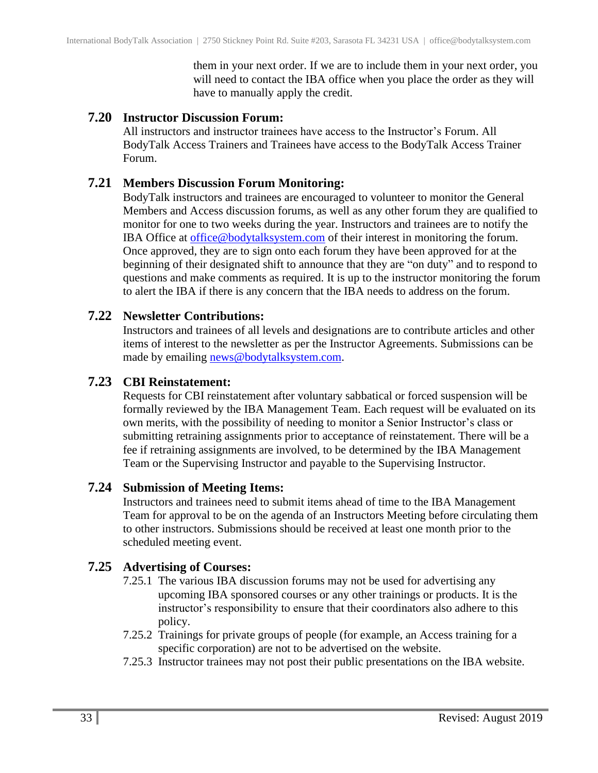them in your next order. If we are to include them in your next order, you will need to contact the IBA office when you place the order as they will have to manually apply the credit.

#### <span id="page-32-0"></span>**7.20 Instructor Discussion Forum:**

All instructors and instructor trainees have access to the Instructor's Forum. All BodyTalk Access Trainers and Trainees have access to the BodyTalk Access Trainer Forum.

#### <span id="page-32-1"></span>**7.21 Members Discussion Forum Monitoring:**

BodyTalk instructors and trainees are encouraged to volunteer to monitor the General Members and Access discussion forums, as well as any other forum they are qualified to monitor for one to two weeks during the year. Instructors and trainees are to notify the IBA Office at [office@bodytalksystem.com](mailto:office@bodytalksystem.com) of their interest in monitoring the forum. Once approved, they are to sign onto each forum they have been approved for at the beginning of their designated shift to announce that they are "on duty" and to respond to questions and make comments as required. It is up to the instructor monitoring the forum to alert the IBA if there is any concern that the IBA needs to address on the forum.

#### <span id="page-32-2"></span>**7.22 Newsletter Contributions:**

Instructors and trainees of all levels and designations are to contribute articles and other items of interest to the newsletter as per the Instructor Agreements. Submissions can be made by emailing [news@bodytalksystem.com.](mailto:news@bodytalksystem.com)

#### <span id="page-32-3"></span>**7.23 CBI Reinstatement:**

Requests for CBI reinstatement after voluntary sabbatical or forced suspension will be formally reviewed by the IBA Management Team. Each request will be evaluated on its own merits, with the possibility of needing to monitor a Senior Instructor's class or submitting retraining assignments prior to acceptance of reinstatement. There will be a fee if retraining assignments are involved, to be determined by the IBA Management Team or the Supervising Instructor and payable to the Supervising Instructor.

#### <span id="page-32-4"></span>**7.24 Submission of Meeting Items:**

Instructors and trainees need to submit items ahead of time to the IBA Management Team for approval to be on the agenda of an Instructors Meeting before circulating them to other instructors. Submissions should be received at least one month prior to the scheduled meeting event.

#### <span id="page-32-5"></span>**7.25 Advertising of Courses:**

- 7.25.1 The various IBA discussion forums may not be used for advertising any upcoming IBA sponsored courses or any other trainings or products. It is the instructor's responsibility to ensure that their coordinators also adhere to this policy.
- 7.25.2 Trainings for private groups of people (for example, an Access training for a specific corporation) are not to be advertised on the website.
- 7.25.3 Instructor trainees may not post their public presentations on the IBA website.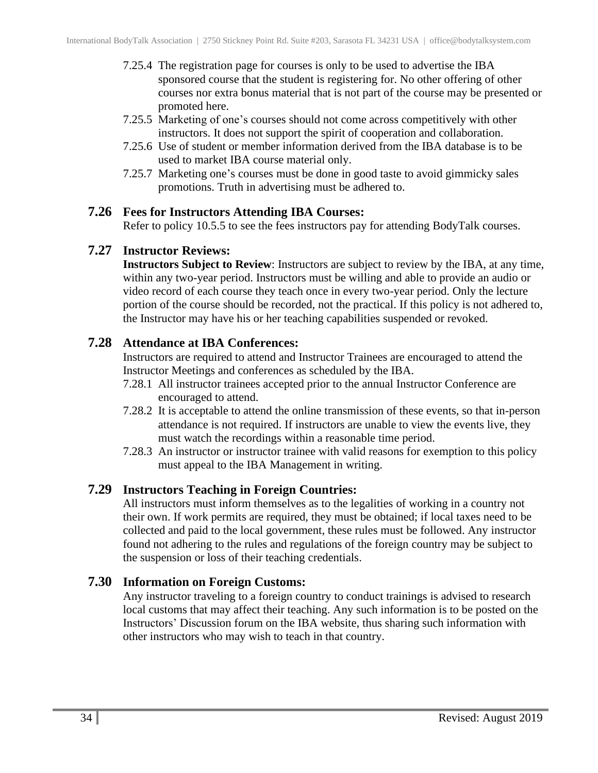- 7.25.4 The registration page for courses is only to be used to advertise the IBA sponsored course that the student is registering for. No other offering of other courses nor extra bonus material that is not part of the course may be presented or promoted here.
- 7.25.5 Marketing of one's courses should not come across competitively with other instructors. It does not support the spirit of cooperation and collaboration.
- 7.25.6 Use of student or member information derived from the IBA database is to be used to market IBA course material only.
- 7.25.7 Marketing one's courses must be done in good taste to avoid gimmicky sales promotions. Truth in advertising must be adhered to.

#### <span id="page-33-0"></span>**7.26 Fees for Instructors Attending IBA Courses:**

Refer to policy 10.5.5 to see the fees instructors pay for attending BodyTalk courses.

#### <span id="page-33-1"></span>**7.27 Instructor Reviews:**

**Instructors Subject to Review**: Instructors are subject to review by the IBA, at any time, within any two-year period. Instructors must be willing and able to provide an audio or video record of each course they teach once in every two-year period. Only the lecture portion of the course should be recorded, not the practical. If this policy is not adhered to, the Instructor may have his or her teaching capabilities suspended or revoked.

#### <span id="page-33-2"></span>**7.28 Attendance at IBA Conferences:**

Instructors are required to attend and Instructor Trainees are encouraged to attend the Instructor Meetings and conferences as scheduled by the IBA.

- 7.28.1 All instructor trainees accepted prior to the annual Instructor Conference are encouraged to attend.
- 7.28.2 It is acceptable to attend the online transmission of these events, so that in-person attendance is not required. If instructors are unable to view the events live, they must watch the recordings within a reasonable time period.
- 7.28.3 An instructor or instructor trainee with valid reasons for exemption to this policy must appeal to the IBA Management in writing.

#### <span id="page-33-3"></span>**7.29 Instructors Teaching in Foreign Countries:**

All instructors must inform themselves as to the legalities of working in a country not their own. If work permits are required, they must be obtained; if local taxes need to be collected and paid to the local government, these rules must be followed. Any instructor found not adhering to the rules and regulations of the foreign country may be subject to the suspension or loss of their teaching credentials.

#### <span id="page-33-4"></span>**7.30 Information on Foreign Customs:**

Any instructor traveling to a foreign country to conduct trainings is advised to research local customs that may affect their teaching. Any such information is to be posted on the Instructors' Discussion forum on the IBA website, thus sharing such information with other instructors who may wish to teach in that country.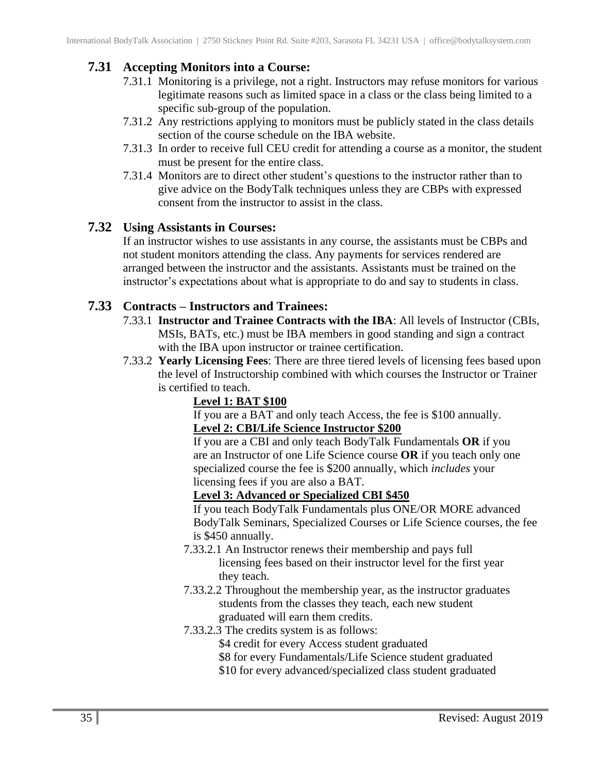## <span id="page-34-0"></span>**7.31 Accepting Monitors into a Course:**

- 7.31.1 Monitoring is a privilege, not a right. Instructors may refuse monitors for various legitimate reasons such as limited space in a class or the class being limited to a specific sub-group of the population.
- 7.31.2 Any restrictions applying to monitors must be publicly stated in the class details section of the course schedule on the IBA website.
- 7.31.3 In order to receive full CEU credit for attending a course as a monitor, the student must be present for the entire class.
- 7.31.4 Monitors are to direct other student's questions to the instructor rather than to give advice on the BodyTalk techniques unless they are CBPs with expressed consent from the instructor to assist in the class.

#### <span id="page-34-1"></span>**7.32 Using Assistants in Courses:**

If an instructor wishes to use assistants in any course, the assistants must be CBPs and not student monitors attending the class. Any payments for services rendered are arranged between the instructor and the assistants. Assistants must be trained on the instructor's expectations about what is appropriate to do and say to students in class.

#### <span id="page-34-2"></span>**7.33 Contracts – Instructors and Trainees:**

- 7.33.1 **Instructor and Trainee Contracts with the IBA**: All levels of Instructor (CBIs, MSIs, BATs, etc.) must be IBA members in good standing and sign a contract with the IBA upon instructor or trainee certification.
- 7.33.2 **Yearly Licensing Fees**: There are three tiered levels of licensing fees based upon the level of Instructorship combined with which courses the Instructor or Trainer is certified to teach.

#### **Level 1: BAT \$100**

If you are a BAT and only teach Access, the fee is \$100 annually. **Level 2: CBI/Life Science Instructor \$200**

If you are a CBI and only teach BodyTalk Fundamentals **OR** if you are an Instructor of one Life Science course **OR** if you teach only one specialized course the fee is \$200 annually, which *includes* your licensing fees if you are also a BAT.

#### **Level 3: Advanced or Specialized CBI \$450**

If you teach BodyTalk Fundamentals plus ONE/OR MORE advanced BodyTalk Seminars, Specialized Courses or Life Science courses, the fee is \$450 annually.

- 7.33.2.1 An Instructor renews their membership and pays full licensing fees based on their instructor level for the first year they teach.
- 7.33.2.2 Throughout the membership year, as the instructor graduates students from the classes they teach, each new student graduated will earn them credits.
- 7.33.2.3 The credits system is as follows:
	- \$4 credit for every Access student graduated
	- \$8 for every Fundamentals/Life Science student graduated
	- \$10 for every advanced/specialized class student graduated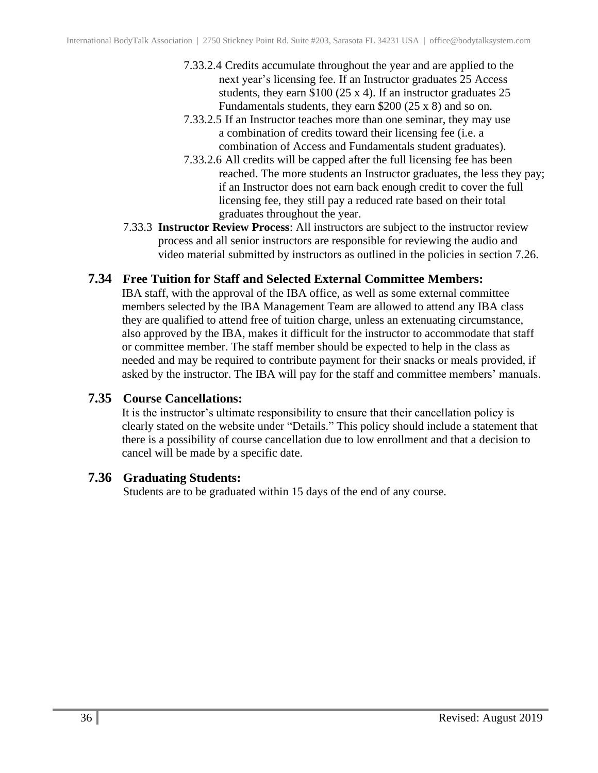- 7.33.2.4 Credits accumulate throughout the year and are applied to the next year's licensing fee. If an Instructor graduates 25 Access students, they earn \$100 (25 x 4). If an instructor graduates 25 Fundamentals students, they earn \$200 (25 x 8) and so on.
- 7.33.2.5 If an Instructor teaches more than one seminar, they may use a combination of credits toward their licensing fee (i.e. a combination of Access and Fundamentals student graduates).
- 7.33.2.6 All credits will be capped after the full licensing fee has been reached. The more students an Instructor graduates, the less they pay; if an Instructor does not earn back enough credit to cover the full licensing fee, they still pay a reduced rate based on their total graduates throughout the year.
- 7.33.3 **Instructor Review Process**: All instructors are subject to the instructor review process and all senior instructors are responsible for reviewing the audio and video material submitted by instructors as outlined in the policies in section 7.26.

#### <span id="page-35-0"></span>**7.34 Free Tuition for Staff and Selected External Committee Members:**

IBA staff, with the approval of the IBA office, as well as some external committee members selected by the IBA Management Team are allowed to attend any IBA class they are qualified to attend free of tuition charge, unless an extenuating circumstance, also approved by the IBA, makes it difficult for the instructor to accommodate that staff or committee member. The staff member should be expected to help in the class as needed and may be required to contribute payment for their snacks or meals provided, if asked by the instructor. The IBA will pay for the staff and committee members' manuals.

#### <span id="page-35-1"></span>**7.35 Course Cancellations:**

It is the instructor's ultimate responsibility to ensure that their cancellation policy is clearly stated on the website under "Details." This policy should include a statement that there is a possibility of course cancellation due to low enrollment and that a decision to cancel will be made by a specific date.

#### <span id="page-35-2"></span>**7.36 Graduating Students:**

Students are to be graduated within 15 days of the end of any course.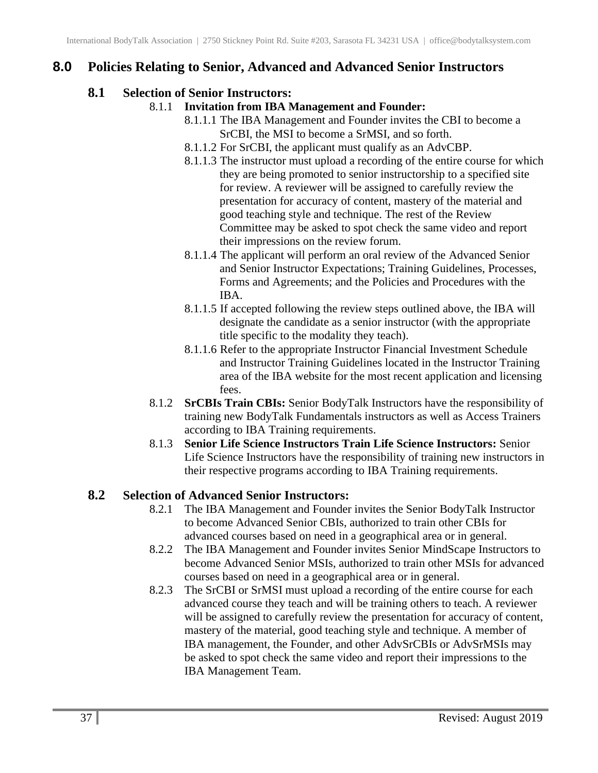## <span id="page-36-1"></span><span id="page-36-0"></span>**8.0 Policies Relating to Senior, Advanced and Advanced Senior Instructors**

### **8.1 Selection of Senior Instructors:**

- 8.1.1 **Invitation from IBA Management and Founder:**
	- 8.1.1.1 The IBA Management and Founder invites the CBI to become a SrCBI, the MSI to become a SrMSI, and so forth.
	- 8.1.1.2 For SrCBI, the applicant must qualify as an AdvCBP.
	- 8.1.1.3 The instructor must upload a recording of the entire course for which they are being promoted to senior instructorship to a specified site for review. A reviewer will be assigned to carefully review the presentation for accuracy of content, mastery of the material and good teaching style and technique. The rest of the Review Committee may be asked to spot check the same video and report their impressions on the review forum.
	- 8.1.1.4 The applicant will perform an oral review of the Advanced Senior and Senior Instructor Expectations; Training Guidelines, Processes, Forms and Agreements; and the Policies and Procedures with the IBA.
	- 8.1.1.5 If accepted following the review steps outlined above, the IBA will designate the candidate as a senior instructor (with the appropriate title specific to the modality they teach).
	- 8.1.1.6 Refer to the appropriate Instructor Financial Investment Schedule and Instructor Training Guidelines located in the Instructor Training area of the IBA website for the most recent application and licensing fees.
- 8.1.2 **SrCBIs Train CBIs:** Senior BodyTalk Instructors have the responsibility of training new BodyTalk Fundamentals instructors as well as Access Trainers according to IBA Training requirements.
- 8.1.3 **Senior Life Science Instructors Train Life Science Instructors:** Senior Life Science Instructors have the responsibility of training new instructors in their respective programs according to IBA Training requirements.

## <span id="page-36-2"></span>**8.2 Selection of Advanced Senior Instructors:**

- 8.2.1 The IBA Management and Founder invites the Senior BodyTalk Instructor to become Advanced Senior CBIs, authorized to train other CBIs for advanced courses based on need in a geographical area or in general.
- 8.2.2 The IBA Management and Founder invites Senior MindScape Instructors to become Advanced Senior MSIs, authorized to train other MSIs for advanced courses based on need in a geographical area or in general.
- 8.2.3 The SrCBI or SrMSI must upload a recording of the entire course for each advanced course they teach and will be training others to teach. A reviewer will be assigned to carefully review the presentation for accuracy of content, mastery of the material, good teaching style and technique. A member of IBA management, the Founder, and other AdvSrCBIs or AdvSrMSIs may be asked to spot check the same video and report their impressions to the IBA Management Team.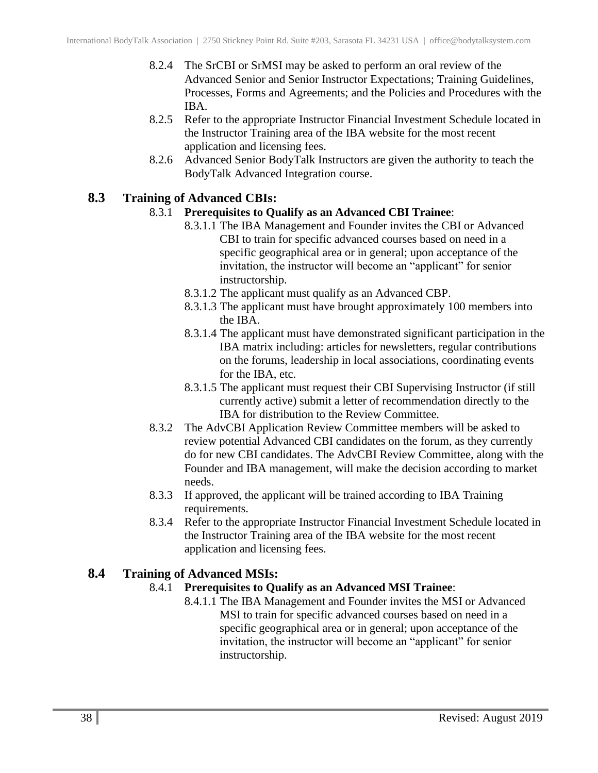- 8.2.4 The SrCBI or SrMSI may be asked to perform an oral review of the Advanced Senior and Senior Instructor Expectations; Training Guidelines, Processes, Forms and Agreements; and the Policies and Procedures with the IBA.
- 8.2.5 Refer to the appropriate Instructor Financial Investment Schedule located in the Instructor Training area of the IBA website for the most recent application and licensing fees.
- 8.2.6 Advanced Senior BodyTalk Instructors are given the authority to teach the BodyTalk Advanced Integration course.

#### <span id="page-37-0"></span>**8.3 Training of Advanced CBIs:**

#### 8.3.1 **Prerequisites to Qualify as an Advanced CBI Trainee**:

- 8.3.1.1 The IBA Management and Founder invites the CBI or Advanced CBI to train for specific advanced courses based on need in a specific geographical area or in general; upon acceptance of the invitation, the instructor will become an "applicant" for senior instructorship.
- 8.3.1.2 The applicant must qualify as an Advanced CBP.
- 8.3.1.3 The applicant must have brought approximately 100 members into the IBA.
- 8.3.1.4 The applicant must have demonstrated significant participation in the IBA matrix including: articles for newsletters, regular contributions on the forums, leadership in local associations, coordinating events for the IBA, etc.
- 8.3.1.5 The applicant must request their CBI Supervising Instructor (if still currently active) submit a letter of recommendation directly to the IBA for distribution to the Review Committee.
- 8.3.2 The AdvCBI Application Review Committee members will be asked to review potential Advanced CBI candidates on the forum, as they currently do for new CBI candidates. The AdvCBI Review Committee, along with the Founder and IBA management, will make the decision according to market needs.
- 8.3.3 If approved, the applicant will be trained according to IBA Training requirements.
- 8.3.4 Refer to the appropriate Instructor Financial Investment Schedule located in the Instructor Training area of the IBA website for the most recent application and licensing fees.

#### <span id="page-37-1"></span>**8.4 Training of Advanced MSIs:**

#### 8.4.1 **Prerequisites to Qualify as an Advanced MSI Trainee**:

8.4.1.1 The IBA Management and Founder invites the MSI or Advanced MSI to train for specific advanced courses based on need in a specific geographical area or in general; upon acceptance of the invitation, the instructor will become an "applicant" for senior instructorship.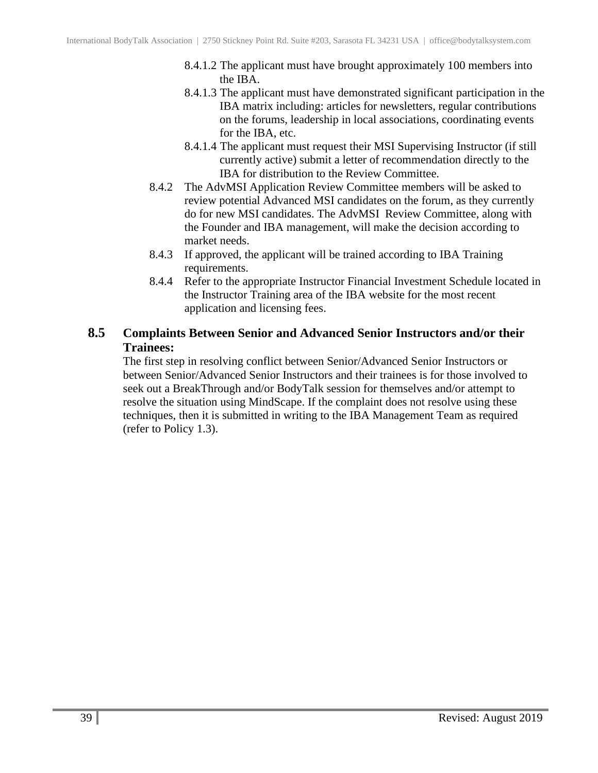- 8.4.1.2 The applicant must have brought approximately 100 members into the IBA.
- 8.4.1.3 The applicant must have demonstrated significant participation in the IBA matrix including: articles for newsletters, regular contributions on the forums, leadership in local associations, coordinating events for the IBA, etc.
- 8.4.1.4 The applicant must request their MSI Supervising Instructor (if still currently active) submit a letter of recommendation directly to the IBA for distribution to the Review Committee.
- 8.4.2 The AdvMSI Application Review Committee members will be asked to review potential Advanced MSI candidates on the forum, as they currently do for new MSI candidates. The AdvMSI Review Committee, along with the Founder and IBA management, will make the decision according to market needs.
- 8.4.3 If approved, the applicant will be trained according to IBA Training requirements.
- 8.4.4 Refer to the appropriate Instructor Financial Investment Schedule located in the Instructor Training area of the IBA website for the most recent application and licensing fees.

#### <span id="page-38-0"></span>**8.5 Complaints Between Senior and Advanced Senior Instructors and/or their Trainees:**

The first step in resolving conflict between Senior/Advanced Senior Instructors or between Senior/Advanced Senior Instructors and their trainees is for those involved to seek out a BreakThrough and/or BodyTalk session for themselves and/or attempt to resolve the situation using MindScape. If the complaint does not resolve using these techniques, then it is submitted in writing to the IBA Management Team as required (refer to Policy 1.3).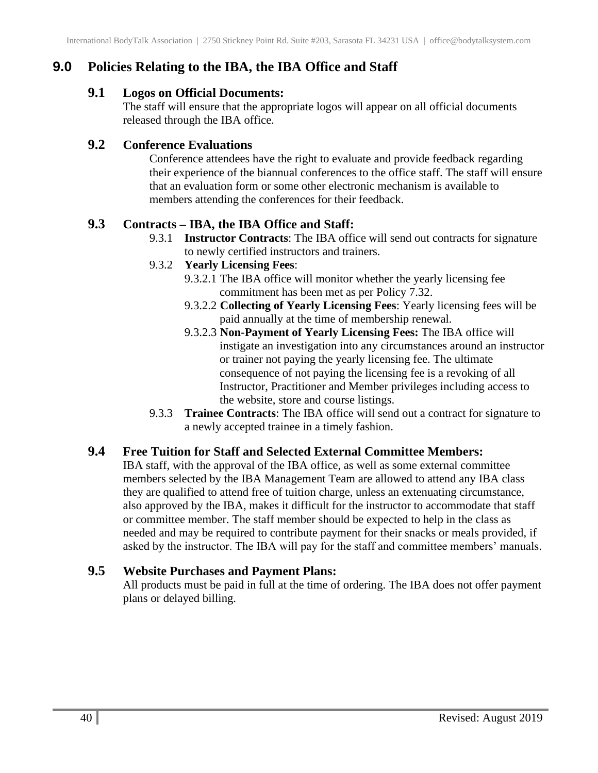## <span id="page-39-1"></span><span id="page-39-0"></span>**9.0 Policies Relating to the IBA, the IBA Office and Staff**

#### **9.1 Logos on Official Documents:**

The staff will ensure that the appropriate logos will appear on all official documents released through the IBA office.

#### <span id="page-39-2"></span>**9.2 Conference Evaluations**

Conference attendees have the right to evaluate and provide feedback regarding their experience of the biannual conferences to the office staff. The staff will ensure that an evaluation form or some other electronic mechanism is available to members attending the conferences for their feedback.

#### <span id="page-39-3"></span>**9.3 Contracts – IBA, the IBA Office and Staff:**

9.3.1 **Instructor Contracts**: The IBA office will send out contracts for signature to newly certified instructors and trainers.

#### 9.3.2 **Yearly Licensing Fees**:

- 9.3.2.1 The IBA office will monitor whether the yearly licensing fee commitment has been met as per Policy 7.32.
- 9.3.2.2 **Collecting of Yearly Licensing Fees**: Yearly licensing fees will be paid annually at the time of membership renewal.
- 9.3.2.3 **Non-Payment of Yearly Licensing Fees:** The IBA office will instigate an investigation into any circumstances around an instructor or trainer not paying the yearly licensing fee. The ultimate consequence of not paying the licensing fee is a revoking of all Instructor, Practitioner and Member privileges including access to the website, store and course listings.
- 9.3.3 **Trainee Contracts**: The IBA office will send out a contract for signature to a newly accepted trainee in a timely fashion.

#### <span id="page-39-4"></span>**9.4 Free Tuition for Staff and Selected External Committee Members:**

IBA staff, with the approval of the IBA office, as well as some external committee members selected by the IBA Management Team are allowed to attend any IBA class they are qualified to attend free of tuition charge, unless an extenuating circumstance, also approved by the IBA, makes it difficult for the instructor to accommodate that staff or committee member. The staff member should be expected to help in the class as needed and may be required to contribute payment for their snacks or meals provided, if asked by the instructor. The IBA will pay for the staff and committee members' manuals.

#### <span id="page-39-5"></span>**9.5 Website Purchases and Payment Plans:**

All products must be paid in full at the time of ordering. The IBA does not offer payment plans or delayed billing.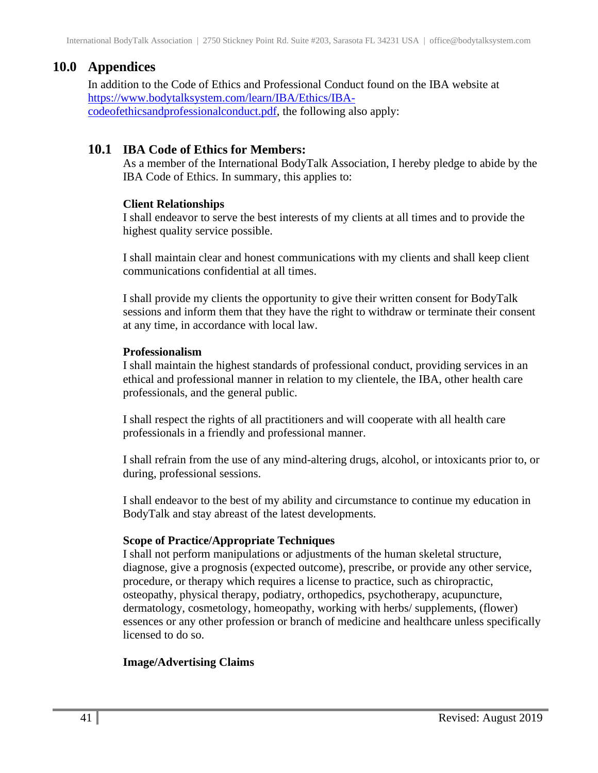## <span id="page-40-0"></span>**10.0 Appendices**

In addition to the Code of Ethics and Professional Conduct found on the IBA website at [https://www.bodytalksystem.com/learn/IBA/Ethics/IBA](https://www.bodytalksystem.com/learn/IBA/Ethics/IBA-codeofethicsandprofessionalconduct.pdf)[codeofethicsandprofessionalconduct.pdf,](https://www.bodytalksystem.com/learn/IBA/Ethics/IBA-codeofethicsandprofessionalconduct.pdf) the following also apply:

## <span id="page-40-1"></span>**10.1 IBA Code of Ethics for Members:**

As a member of the International BodyTalk Association, I hereby pledge to abide by the IBA Code of Ethics. In summary, this applies to:

#### **Client Relationships**

I shall endeavor to serve the best interests of my clients at all times and to provide the highest quality service possible.

I shall maintain clear and honest communications with my clients and shall keep client communications confidential at all times.

I shall provide my clients the opportunity to give their written consent for BodyTalk sessions and inform them that they have the right to withdraw or terminate their consent at any time, in accordance with local law.

#### **Professionalism**

I shall maintain the highest standards of professional conduct, providing services in an ethical and professional manner in relation to my clientele, the IBA, other health care professionals, and the general public.

I shall respect the rights of all practitioners and will cooperate with all health care professionals in a friendly and professional manner.

I shall refrain from the use of any mind-altering drugs, alcohol, or intoxicants prior to, or during, professional sessions.

I shall endeavor to the best of my ability and circumstance to continue my education in BodyTalk and stay abreast of the latest developments.

#### **Scope of Practice/Appropriate Techniques**

I shall not perform manipulations or adjustments of the human skeletal structure, diagnose, give a prognosis (expected outcome), prescribe, or provide any other service, procedure, or therapy which requires a license to practice, such as chiropractic, osteopathy, physical therapy, podiatry, orthopedics, psychotherapy, acupuncture, dermatology, cosmetology, homeopathy, working with herbs/ supplements, (flower) essences or any other profession or branch of medicine and healthcare unless specifically licensed to do so.

#### **Image/Advertising Claims**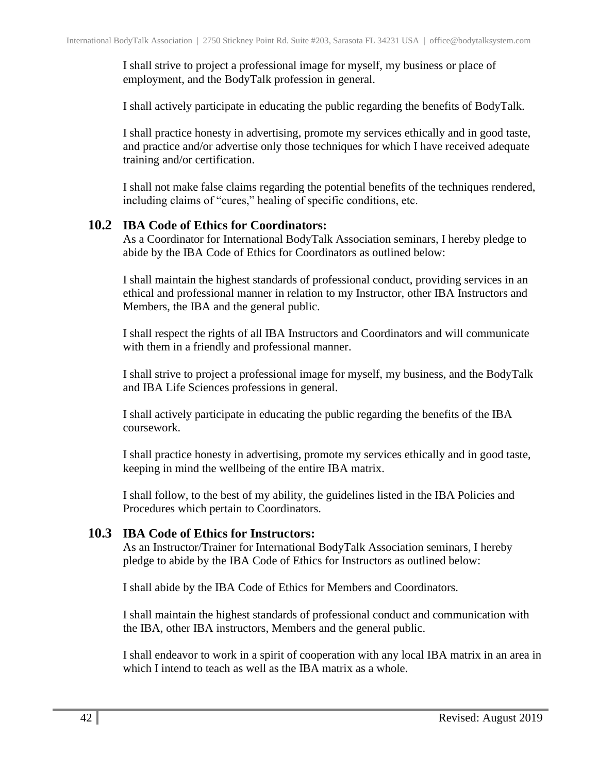I shall strive to project a professional image for myself, my business or place of employment, and the BodyTalk profession in general.

I shall actively participate in educating the public regarding the benefits of BodyTalk.

I shall practice honesty in advertising, promote my services ethically and in good taste, and practice and/or advertise only those techniques for which I have received adequate training and/or certification.

I shall not make false claims regarding the potential benefits of the techniques rendered, including claims of "cures," healing of specific conditions, etc.

#### <span id="page-41-0"></span>**10.2 IBA Code of Ethics for Coordinators:**

As a Coordinator for International BodyTalk Association seminars, I hereby pledge to abide by the IBA Code of Ethics for Coordinators as outlined below:

I shall maintain the highest standards of professional conduct, providing services in an ethical and professional manner in relation to my Instructor, other IBA Instructors and Members, the IBA and the general public.

I shall respect the rights of all IBA Instructors and Coordinators and will communicate with them in a friendly and professional manner.

I shall strive to project a professional image for myself, my business, and the BodyTalk and IBA Life Sciences professions in general.

I shall actively participate in educating the public regarding the benefits of the IBA coursework.

I shall practice honesty in advertising, promote my services ethically and in good taste, keeping in mind the wellbeing of the entire IBA matrix.

I shall follow, to the best of my ability, the guidelines listed in the IBA Policies and Procedures which pertain to Coordinators.

#### <span id="page-41-1"></span>**10.3 IBA Code of Ethics for Instructors:**

As an Instructor/Trainer for International BodyTalk Association seminars, I hereby pledge to abide by the IBA Code of Ethics for Instructors as outlined below:

I shall abide by the IBA Code of Ethics for Members and Coordinators.

I shall maintain the highest standards of professional conduct and communication with the IBA, other IBA instructors, Members and the general public.

I shall endeavor to work in a spirit of cooperation with any local IBA matrix in an area in which I intend to teach as well as the IBA matrix as a whole.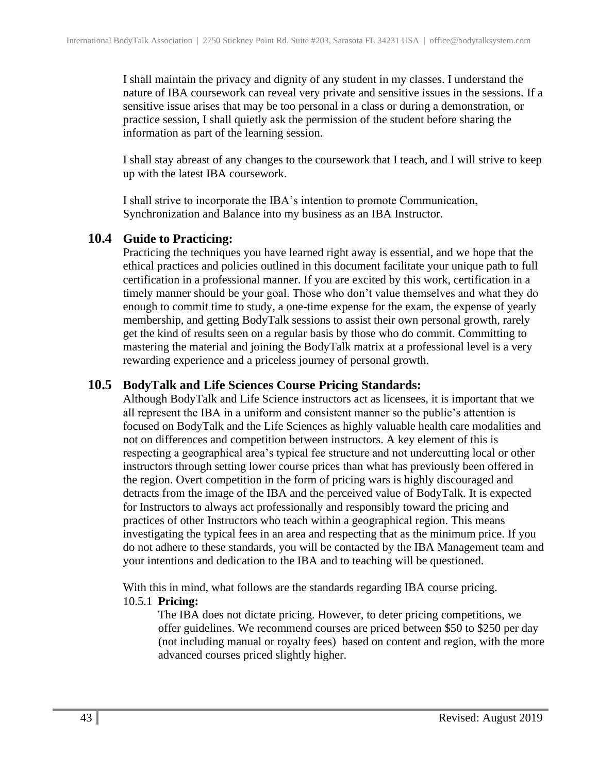I shall maintain the privacy and dignity of any student in my classes. I understand the nature of IBA coursework can reveal very private and sensitive issues in the sessions. If a sensitive issue arises that may be too personal in a class or during a demonstration, or practice session, I shall quietly ask the permission of the student before sharing the information as part of the learning session.

I shall stay abreast of any changes to the coursework that I teach, and I will strive to keep up with the latest IBA coursework.

I shall strive to incorporate the IBA's intention to promote Communication, Synchronization and Balance into my business as an IBA Instructor.

#### <span id="page-42-0"></span>**10.4 Guide to Practicing:**

Practicing the techniques you have learned right away is essential, and we hope that the ethical practices and policies outlined in this document facilitate your unique path to full certification in a professional manner. If you are excited by this work, certification in a timely manner should be your goal. Those who don't value themselves and what they do enough to commit time to study, a one-time expense for the exam, the expense of yearly membership, and getting BodyTalk sessions to assist their own personal growth, rarely get the kind of results seen on a regular basis by those who do commit. Committing to mastering the material and joining the BodyTalk matrix at a professional level is a very rewarding experience and a priceless journey of personal growth.

#### <span id="page-42-1"></span>**10.5 BodyTalk and Life Sciences Course Pricing Standards:**

Although BodyTalk and Life Science instructors act as licensees, it is important that we all represent the IBA in a uniform and consistent manner so the public's attention is focused on BodyTalk and the Life Sciences as highly valuable health care modalities and not on differences and competition between instructors. A key element of this is respecting a geographical area's typical fee structure and not undercutting local or other instructors through setting lower course prices than what has previously been offered in the region. Overt competition in the form of pricing wars is highly discouraged and detracts from the image of the IBA and the perceived value of BodyTalk. It is expected for Instructors to always act professionally and responsibly toward the pricing and practices of other Instructors who teach within a geographical region. This means investigating the typical fees in an area and respecting that as the minimum price. If you do not adhere to these standards, you will be contacted by the IBA Management team and your intentions and dedication to the IBA and to teaching will be questioned.

With this in mind, what follows are the standards regarding IBA course pricing. 10.5.1 **Pricing:**

The IBA does not dictate pricing. However, to deter pricing competitions, we offer guidelines. We recommend courses are priced between \$50 to \$250 per day (not including manual or royalty fees) based on content and region, with the more advanced courses priced slightly higher.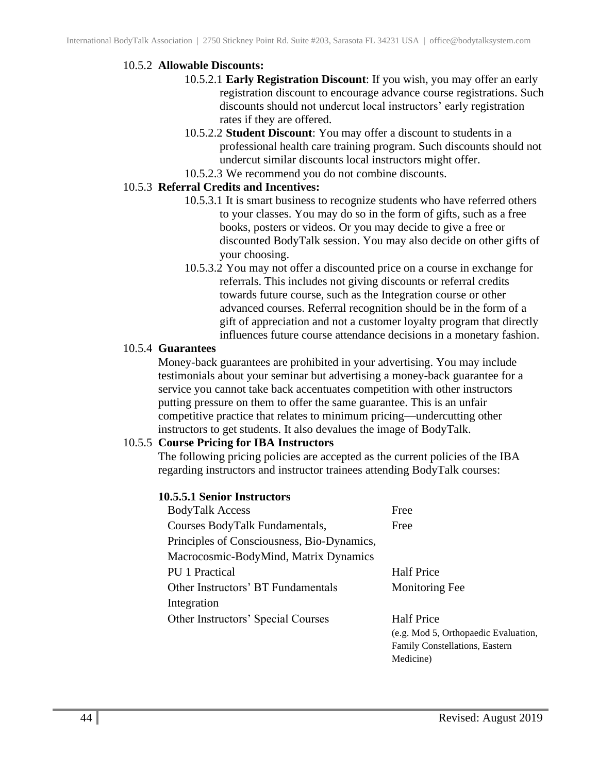#### 10.5.2 **Allowable Discounts:**

- 10.5.2.1 **Early Registration Discount**: If you wish, you may offer an early registration discount to encourage advance course registrations. Such discounts should not undercut local instructors' early registration rates if they are offered.
- 10.5.2.2 **Student Discount**: You may offer a discount to students in a professional health care training program. Such discounts should not undercut similar discounts local instructors might offer.
- 10.5.2.3 We recommend you do not combine discounts.

#### 10.5.3 **Referral Credits and Incentives:**

- 10.5.3.1 It is smart business to recognize students who have referred others to your classes. You may do so in the form of gifts, such as a free books, posters or videos. Or you may decide to give a free or discounted BodyTalk session. You may also decide on other gifts of your choosing.
- 10.5.3.2 You may not offer a discounted price on a course in exchange for referrals. This includes not giving discounts or referral credits towards future course, such as the Integration course or other advanced courses. Referral recognition should be in the form of a gift of appreciation and not a customer loyalty program that directly influences future course attendance decisions in a monetary fashion.

#### 10.5.4 **Guarantees**

Money-back guarantees are prohibited in your advertising. You may include testimonials about your seminar but advertising a money-back guarantee for a service you cannot take back accentuates competition with other instructors putting pressure on them to offer the same guarantee. This is an unfair competitive practice that relates to minimum pricing—undercutting other instructors to get students. It also devalues the image of BodyTalk.

#### 10.5.5 **Course Pricing for IBA Instructors**

The following pricing policies are accepted as the current policies of the IBA regarding instructors and instructor trainees attending BodyTalk courses:

#### **10.5.5.1 Senior Instructors**

| <b>BodyTalk Access</b>                     | Free                                 |
|--------------------------------------------|--------------------------------------|
| Courses BodyTalk Fundamentals,             | Free                                 |
| Principles of Consciousness, Bio-Dynamics, |                                      |
| Macrocosmic-BodyMind, Matrix Dynamics      |                                      |
| <b>PU</b> 1 Practical                      | <b>Half Price</b>                    |
| Other Instructors' BT Fundamentals         | <b>Monitoring Fee</b>                |
| Integration                                |                                      |
| Other Instructors' Special Courses         | <b>Half Price</b>                    |
|                                            | (e.g. Mod 5, Orthopaedic Evaluation, |
|                                            | Family Constellations, Eastern       |

Medicine)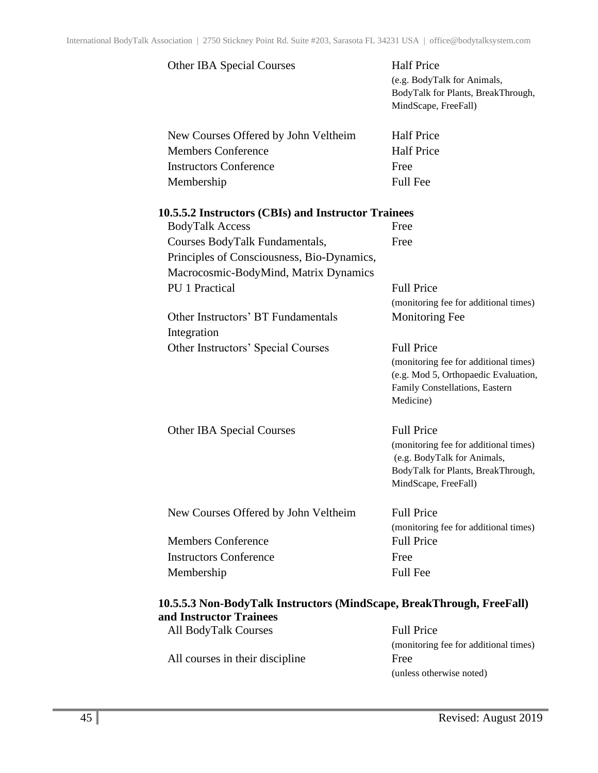| <b>Other IBA Special Courses</b>                    | <b>Half Price</b><br>(e.g. BodyTalk for Animals,<br>BodyTalk for Plants, BreakThrough,<br>MindScape, FreeFall)                     |
|-----------------------------------------------------|------------------------------------------------------------------------------------------------------------------------------------|
| New Courses Offered by John Veltheim                | <b>Half Price</b>                                                                                                                  |
| <b>Members Conference</b>                           | <b>Half Price</b>                                                                                                                  |
| <b>Instructors Conference</b>                       | Free                                                                                                                               |
| Membership                                          | <b>Full Fee</b>                                                                                                                    |
| 10.5.5.2 Instructors (CBIs) and Instructor Trainees |                                                                                                                                    |
| <b>BodyTalk Access</b>                              | Free                                                                                                                               |
| Courses BodyTalk Fundamentals,                      | Free                                                                                                                               |
| Principles of Consciousness, Bio-Dynamics,          |                                                                                                                                    |
| Macrocosmic-BodyMind, Matrix Dynamics               |                                                                                                                                    |
| PU 1 Practical                                      | <b>Full Price</b>                                                                                                                  |
|                                                     | (monitoring fee for additional times)                                                                                              |
| Other Instructors' BT Fundamentals<br>Integration   | <b>Monitoring Fee</b>                                                                                                              |
| Other Instructors' Special Courses                  | <b>Full Price</b>                                                                                                                  |
|                                                     | (monitoring fee for additional times)<br>(e.g. Mod 5, Orthopaedic Evaluation,<br>Family Constellations, Eastern<br>Medicine)       |
| <b>Other IBA Special Courses</b>                    | <b>Full Price</b>                                                                                                                  |
|                                                     | (monitoring fee for additional times)<br>(e.g. BodyTalk for Animals,<br>BodyTalk for Plants, BreakThrough,<br>MindScape, FreeFall) |
| New Courses Offered by John Veltheim                | <b>Full Price</b>                                                                                                                  |
|                                                     | (monitoring fee for additional times)                                                                                              |
| <b>Members Conference</b>                           | <b>Full Price</b>                                                                                                                  |
| <b>Instructors Conference</b>                       | Free                                                                                                                               |
| Membership                                          | <b>Full Fee</b>                                                                                                                    |

| iu msu ucior Tramccs            |                                       |
|---------------------------------|---------------------------------------|
| <b>All BodyTalk Courses</b>     | <b>Full Price</b>                     |
|                                 | (monitoring fee for additional times) |
| All courses in their discipline | Free                                  |
|                                 | (unless otherwise noted)              |